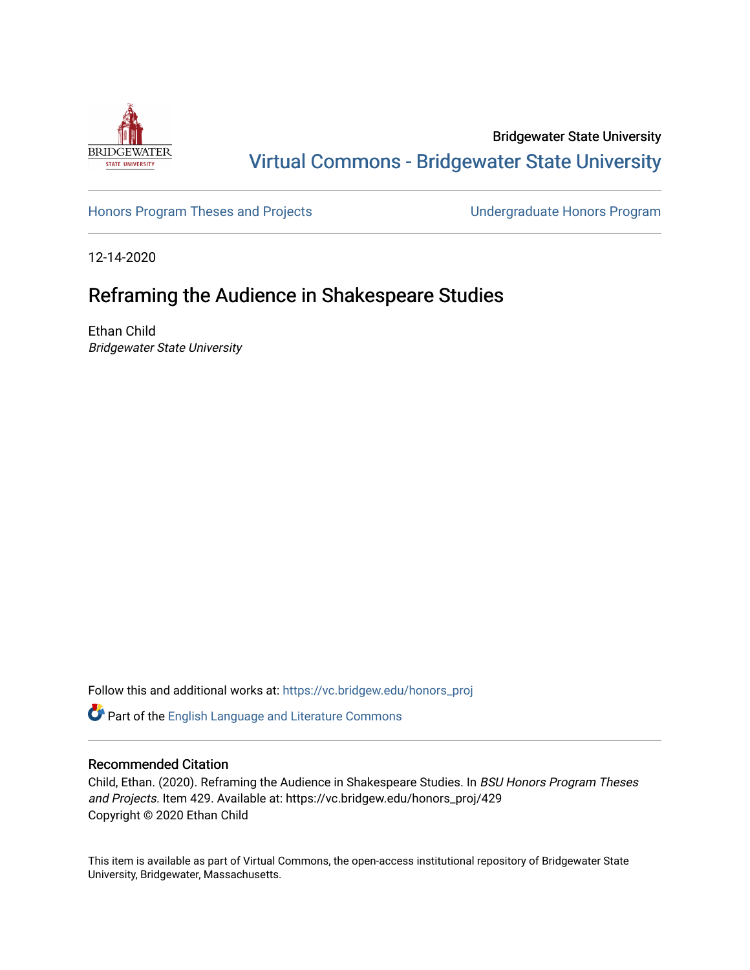

Bridgewater State University [Virtual Commons - Bridgewater State University](https://vc.bridgew.edu/) 

[Honors Program Theses and Projects](https://vc.bridgew.edu/honors_proj) [Undergraduate Honors Program](https://vc.bridgew.edu/honors) 

12-14-2020

# Reframing the Audience in Shakespeare Studies

Ethan Child Bridgewater State University

Follow this and additional works at: [https://vc.bridgew.edu/honors\\_proj](https://vc.bridgew.edu/honors_proj?utm_source=vc.bridgew.edu%2Fhonors_proj%2F429&utm_medium=PDF&utm_campaign=PDFCoverPages)

Part of the [English Language and Literature Commons](http://network.bepress.com/hgg/discipline/455?utm_source=vc.bridgew.edu%2Fhonors_proj%2F429&utm_medium=PDF&utm_campaign=PDFCoverPages)

## Recommended Citation

Child, Ethan. (2020). Reframing the Audience in Shakespeare Studies. In BSU Honors Program Theses and Projects. Item 429. Available at: https://vc.bridgew.edu/honors\_proj/429 Copyright © 2020 Ethan Child

This item is available as part of Virtual Commons, the open-access institutional repository of Bridgewater State University, Bridgewater, Massachusetts.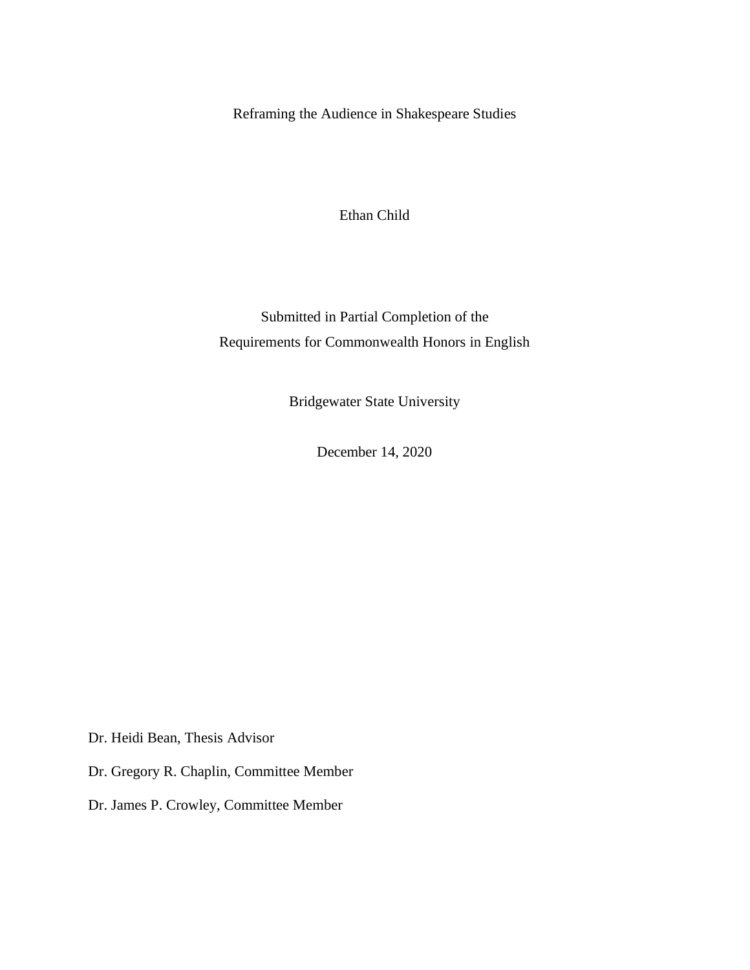Reframing the Audience in Shakespeare Studies

Ethan Child

Submitted in Partial Completion of the Requirements for Commonwealth Honors in English

Bridgewater State University

December 14, 2020

Dr. Heidi Bean, Thesis Advisor

Dr. Gregory R. Chaplin, Committee Member

Dr. James P. Crowley, Committee Member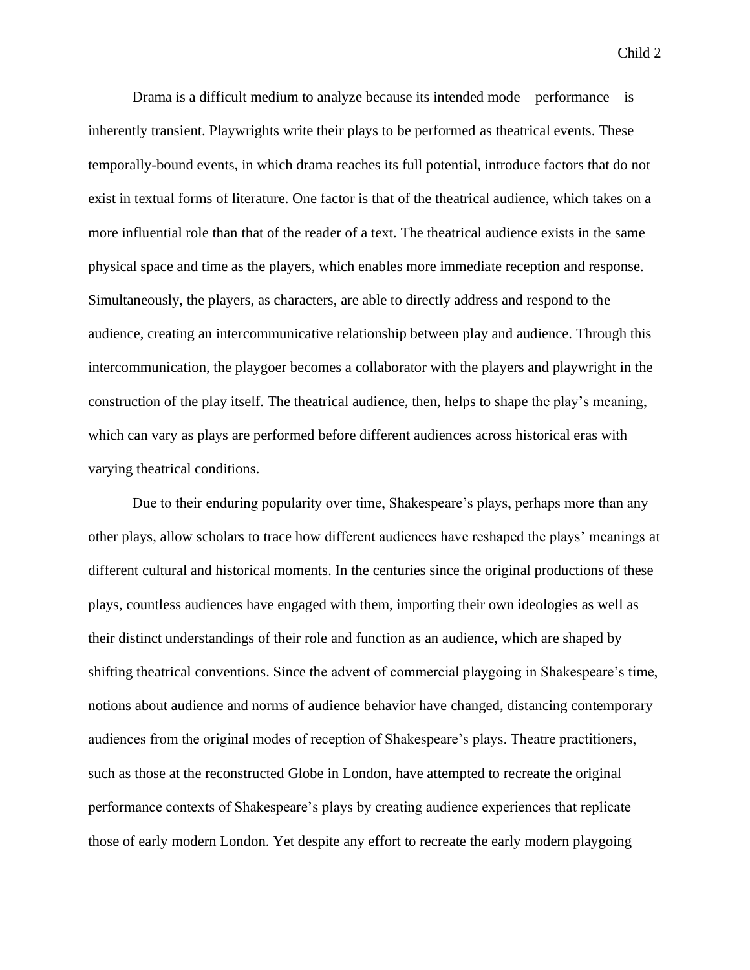Drama is a difficult medium to analyze because its intended mode—performance—is inherently transient. Playwrights write their plays to be performed as theatrical events. These temporally-bound events, in which drama reaches its full potential, introduce factors that do not exist in textual forms of literature. One factor is that of the theatrical audience, which takes on a more influential role than that of the reader of a text. The theatrical audience exists in the same physical space and time as the players, which enables more immediate reception and response. Simultaneously, the players, as characters, are able to directly address and respond to the audience, creating an intercommunicative relationship between play and audience. Through this intercommunication, the playgoer becomes a collaborator with the players and playwright in the construction of the play itself. The theatrical audience, then, helps to shape the play's meaning, which can vary as plays are performed before different audiences across historical eras with varying theatrical conditions.

Due to their enduring popularity over time, Shakespeare's plays, perhaps more than any other plays, allow scholars to trace how different audiences have reshaped the plays' meanings at different cultural and historical moments. In the centuries since the original productions of these plays, countless audiences have engaged with them, importing their own ideologies as well as their distinct understandings of their role and function as an audience, which are shaped by shifting theatrical conventions. Since the advent of commercial playgoing in Shakespeare's time, notions about audience and norms of audience behavior have changed, distancing contemporary audiences from the original modes of reception of Shakespeare's plays. Theatre practitioners, such as those at the reconstructed Globe in London, have attempted to recreate the original performance contexts of Shakespeare's plays by creating audience experiences that replicate those of early modern London. Yet despite any effort to recreate the early modern playgoing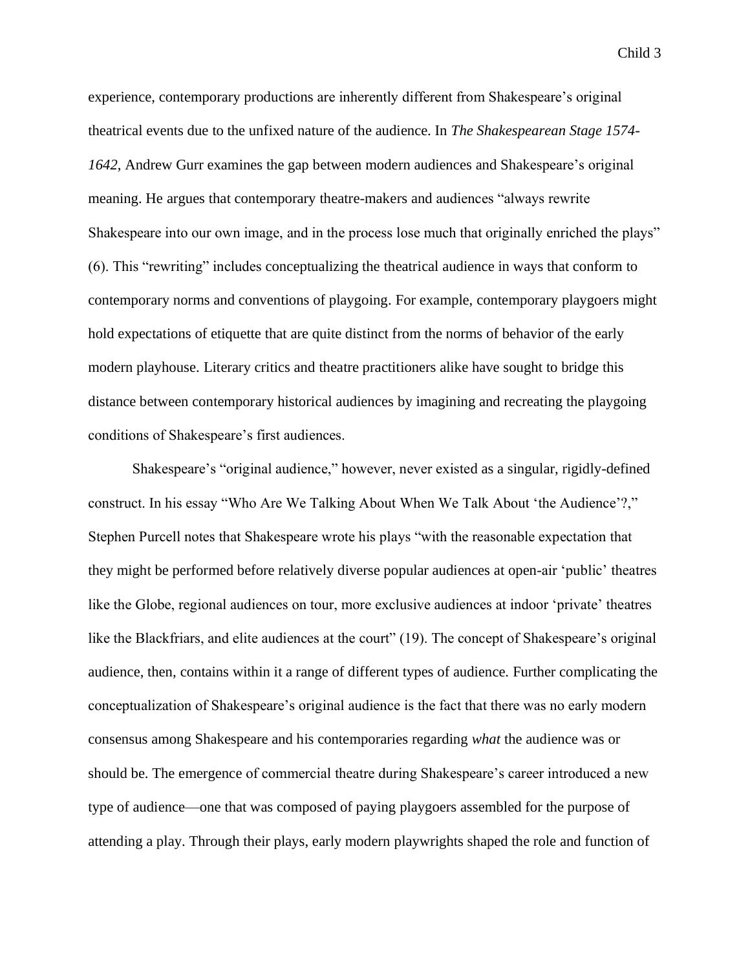experience, contemporary productions are inherently different from Shakespeare's original theatrical events due to the unfixed nature of the audience. In *The Shakespearean Stage 1574- 1642*, Andrew Gurr examines the gap between modern audiences and Shakespeare's original meaning. He argues that contemporary theatre-makers and audiences "always rewrite Shakespeare into our own image, and in the process lose much that originally enriched the plays" (6). This "rewriting" includes conceptualizing the theatrical audience in ways that conform to contemporary norms and conventions of playgoing. For example, contemporary playgoers might hold expectations of etiquette that are quite distinct from the norms of behavior of the early modern playhouse. Literary critics and theatre practitioners alike have sought to bridge this distance between contemporary historical audiences by imagining and recreating the playgoing conditions of Shakespeare's first audiences.

Shakespeare's "original audience," however, never existed as a singular, rigidly-defined construct. In his essay "Who Are We Talking About When We Talk About 'the Audience'?," Stephen Purcell notes that Shakespeare wrote his plays "with the reasonable expectation that they might be performed before relatively diverse popular audiences at open-air 'public' theatres like the Globe, regional audiences on tour, more exclusive audiences at indoor 'private' theatres like the Blackfriars, and elite audiences at the court" (19). The concept of Shakespeare's original audience, then, contains within it a range of different types of audience. Further complicating the conceptualization of Shakespeare's original audience is the fact that there was no early modern consensus among Shakespeare and his contemporaries regarding *what* the audience was or should be. The emergence of commercial theatre during Shakespeare's career introduced a new type of audience—one that was composed of paying playgoers assembled for the purpose of attending a play. Through their plays, early modern playwrights shaped the role and function of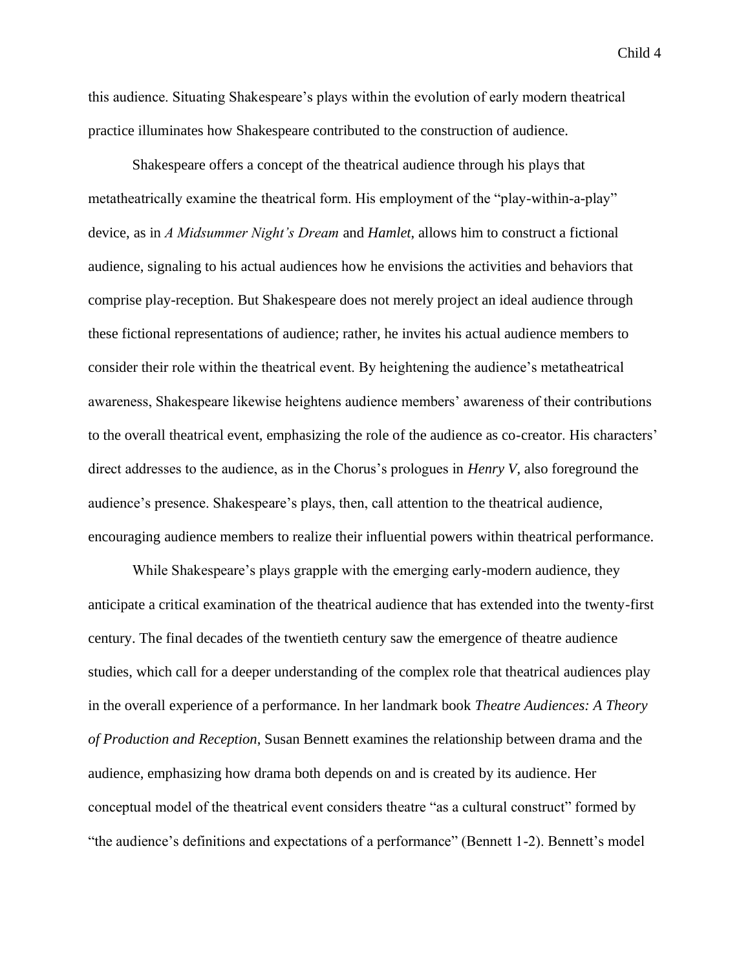this audience. Situating Shakespeare's plays within the evolution of early modern theatrical practice illuminates how Shakespeare contributed to the construction of audience.

Shakespeare offers a concept of the theatrical audience through his plays that metatheatrically examine the theatrical form. His employment of the "play-within-a-play" device, as in *A Midsummer Night's Dream* and *Hamlet*, allows him to construct a fictional audience, signaling to his actual audiences how he envisions the activities and behaviors that comprise play-reception. But Shakespeare does not merely project an ideal audience through these fictional representations of audience; rather, he invites his actual audience members to consider their role within the theatrical event. By heightening the audience's metatheatrical awareness, Shakespeare likewise heightens audience members' awareness of their contributions to the overall theatrical event, emphasizing the role of the audience as co-creator. His characters' direct addresses to the audience, as in the Chorus's prologues in *Henry V*, also foreground the audience's presence. Shakespeare's plays, then, call attention to the theatrical audience, encouraging audience members to realize their influential powers within theatrical performance.

While Shakespeare's plays grapple with the emerging early-modern audience, they anticipate a critical examination of the theatrical audience that has extended into the twenty-first century. The final decades of the twentieth century saw the emergence of theatre audience studies, which call for a deeper understanding of the complex role that theatrical audiences play in the overall experience of a performance. In her landmark book *Theatre Audiences: A Theory of Production and Reception*, Susan Bennett examines the relationship between drama and the audience, emphasizing how drama both depends on and is created by its audience. Her conceptual model of the theatrical event considers theatre "as a cultural construct" formed by "the audience's definitions and expectations of a performance" (Bennett 1-2). Bennett's model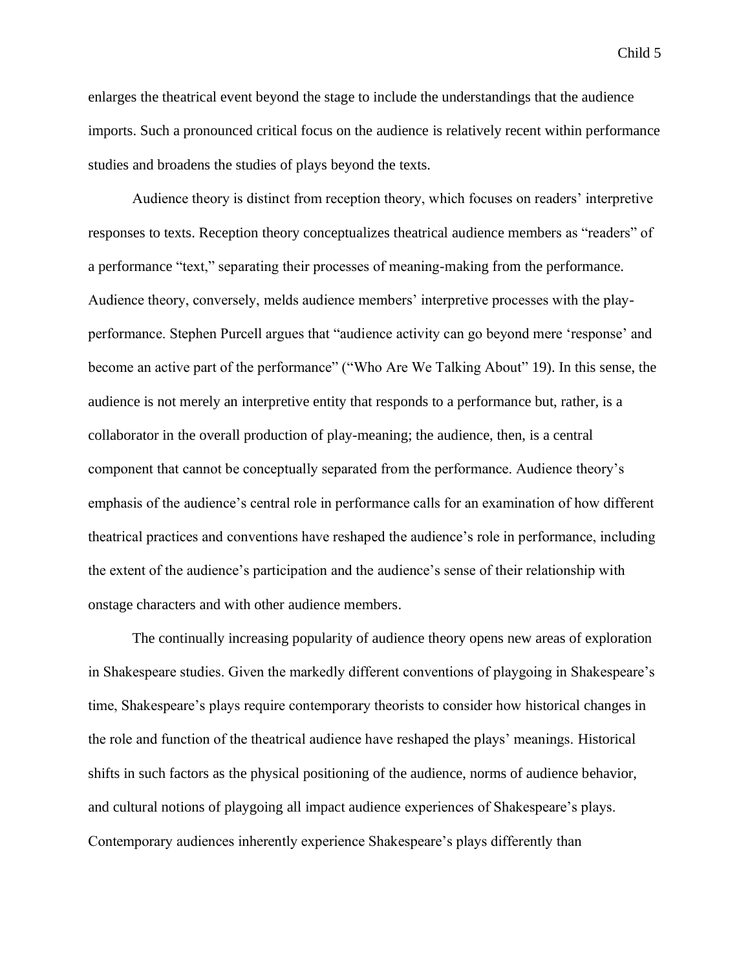enlarges the theatrical event beyond the stage to include the understandings that the audience imports. Such a pronounced critical focus on the audience is relatively recent within performance studies and broadens the studies of plays beyond the texts.

Audience theory is distinct from reception theory, which focuses on readers' interpretive responses to texts. Reception theory conceptualizes theatrical audience members as "readers" of a performance "text," separating their processes of meaning-making from the performance. Audience theory, conversely, melds audience members' interpretive processes with the playperformance. Stephen Purcell argues that "audience activity can go beyond mere 'response' and become an active part of the performance" ("Who Are We Talking About" 19). In this sense, the audience is not merely an interpretive entity that responds to a performance but, rather, is a collaborator in the overall production of play-meaning; the audience, then, is a central component that cannot be conceptually separated from the performance. Audience theory's emphasis of the audience's central role in performance calls for an examination of how different theatrical practices and conventions have reshaped the audience's role in performance, including the extent of the audience's participation and the audience's sense of their relationship with onstage characters and with other audience members.

The continually increasing popularity of audience theory opens new areas of exploration in Shakespeare studies. Given the markedly different conventions of playgoing in Shakespeare's time, Shakespeare's plays require contemporary theorists to consider how historical changes in the role and function of the theatrical audience have reshaped the plays' meanings. Historical shifts in such factors as the physical positioning of the audience, norms of audience behavior, and cultural notions of playgoing all impact audience experiences of Shakespeare's plays. Contemporary audiences inherently experience Shakespeare's plays differently than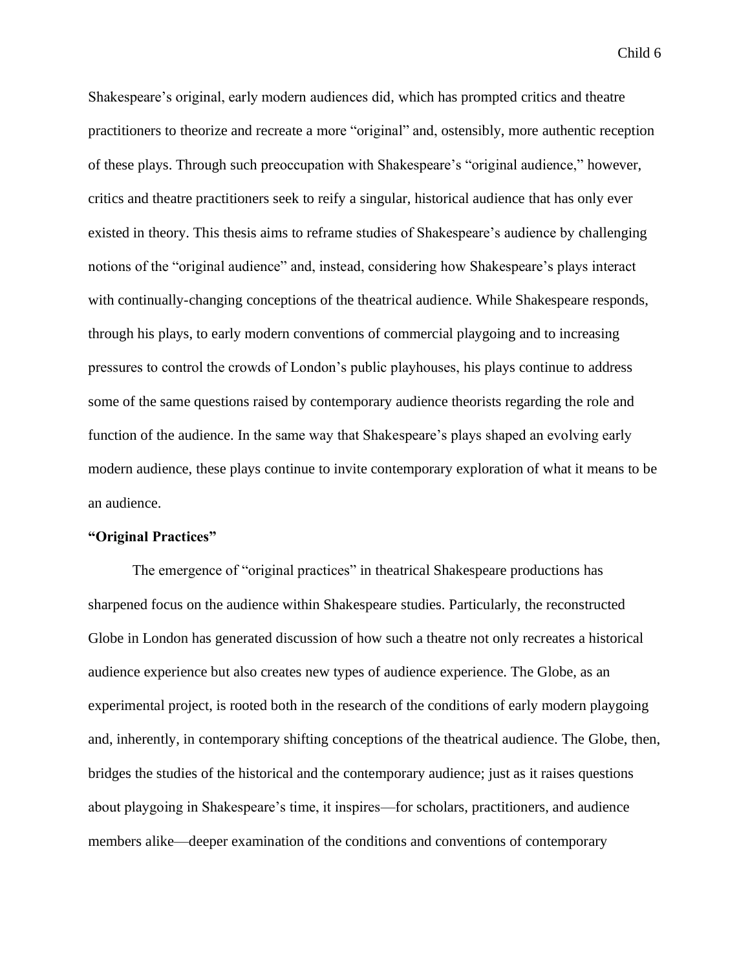Shakespeare's original, early modern audiences did, which has prompted critics and theatre practitioners to theorize and recreate a more "original" and, ostensibly, more authentic reception of these plays. Through such preoccupation with Shakespeare's "original audience," however, critics and theatre practitioners seek to reify a singular, historical audience that has only ever existed in theory. This thesis aims to reframe studies of Shakespeare's audience by challenging notions of the "original audience" and, instead, considering how Shakespeare's plays interact with continually-changing conceptions of the theatrical audience. While Shakespeare responds, through his plays, to early modern conventions of commercial playgoing and to increasing pressures to control the crowds of London's public playhouses, his plays continue to address some of the same questions raised by contemporary audience theorists regarding the role and function of the audience. In the same way that Shakespeare's plays shaped an evolving early modern audience, these plays continue to invite contemporary exploration of what it means to be an audience.

## **"Original Practices"**

The emergence of "original practices" in theatrical Shakespeare productions has sharpened focus on the audience within Shakespeare studies. Particularly, the reconstructed Globe in London has generated discussion of how such a theatre not only recreates a historical audience experience but also creates new types of audience experience. The Globe, as an experimental project, is rooted both in the research of the conditions of early modern playgoing and, inherently, in contemporary shifting conceptions of the theatrical audience. The Globe, then, bridges the studies of the historical and the contemporary audience; just as it raises questions about playgoing in Shakespeare's time, it inspires—for scholars, practitioners, and audience members alike—deeper examination of the conditions and conventions of contemporary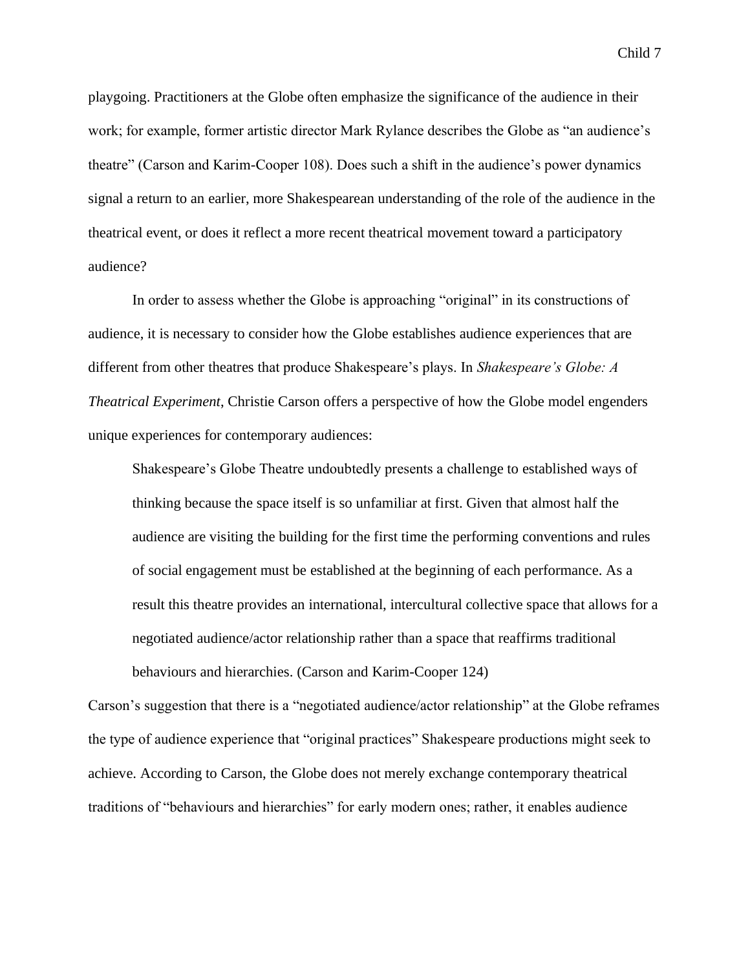playgoing. Practitioners at the Globe often emphasize the significance of the audience in their work; for example, former artistic director Mark Rylance describes the Globe as "an audience's theatre" (Carson and Karim-Cooper 108). Does such a shift in the audience's power dynamics signal a return to an earlier, more Shakespearean understanding of the role of the audience in the theatrical event, or does it reflect a more recent theatrical movement toward a participatory audience?

In order to assess whether the Globe is approaching "original" in its constructions of audience, it is necessary to consider how the Globe establishes audience experiences that are different from other theatres that produce Shakespeare's plays. In *Shakespeare's Globe: A Theatrical Experiment*, Christie Carson offers a perspective of how the Globe model engenders unique experiences for contemporary audiences:

Shakespeare's Globe Theatre undoubtedly presents a challenge to established ways of thinking because the space itself is so unfamiliar at first. Given that almost half the audience are visiting the building for the first time the performing conventions and rules of social engagement must be established at the beginning of each performance. As a result this theatre provides an international, intercultural collective space that allows for a negotiated audience/actor relationship rather than a space that reaffirms traditional behaviours and hierarchies. (Carson and Karim-Cooper 124)

Carson's suggestion that there is a "negotiated audience/actor relationship" at the Globe reframes the type of audience experience that "original practices" Shakespeare productions might seek to achieve. According to Carson, the Globe does not merely exchange contemporary theatrical traditions of "behaviours and hierarchies" for early modern ones; rather, it enables audience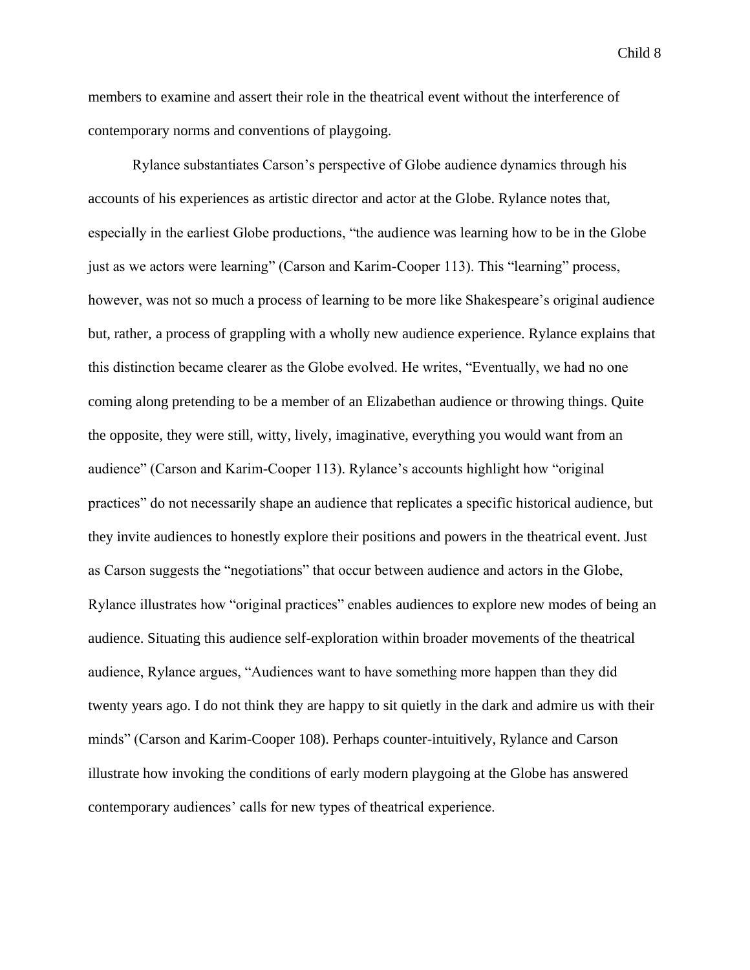members to examine and assert their role in the theatrical event without the interference of contemporary norms and conventions of playgoing.

Rylance substantiates Carson's perspective of Globe audience dynamics through his accounts of his experiences as artistic director and actor at the Globe. Rylance notes that, especially in the earliest Globe productions, "the audience was learning how to be in the Globe just as we actors were learning" (Carson and Karim-Cooper 113). This "learning" process, however, was not so much a process of learning to be more like Shakespeare's original audience but, rather, a process of grappling with a wholly new audience experience. Rylance explains that this distinction became clearer as the Globe evolved. He writes, "Eventually, we had no one coming along pretending to be a member of an Elizabethan audience or throwing things. Quite the opposite, they were still, witty, lively, imaginative, everything you would want from an audience" (Carson and Karim-Cooper 113). Rylance's accounts highlight how "original practices" do not necessarily shape an audience that replicates a specific historical audience, but they invite audiences to honestly explore their positions and powers in the theatrical event. Just as Carson suggests the "negotiations" that occur between audience and actors in the Globe, Rylance illustrates how "original practices" enables audiences to explore new modes of being an audience. Situating this audience self-exploration within broader movements of the theatrical audience, Rylance argues, "Audiences want to have something more happen than they did twenty years ago. I do not think they are happy to sit quietly in the dark and admire us with their minds" (Carson and Karim-Cooper 108). Perhaps counter-intuitively, Rylance and Carson illustrate how invoking the conditions of early modern playgoing at the Globe has answered contemporary audiences' calls for new types of theatrical experience.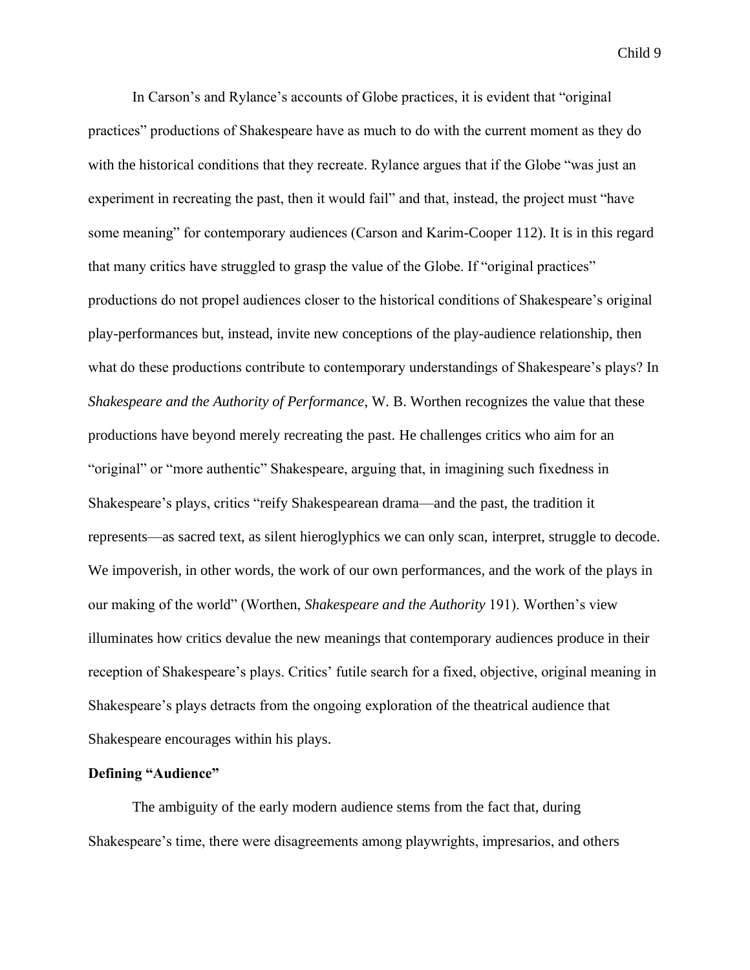In Carson's and Rylance's accounts of Globe practices, it is evident that "original practices" productions of Shakespeare have as much to do with the current moment as they do with the historical conditions that they recreate. Rylance argues that if the Globe "was just an experiment in recreating the past, then it would fail" and that, instead, the project must "have some meaning" for contemporary audiences (Carson and Karim-Cooper 112). It is in this regard that many critics have struggled to grasp the value of the Globe. If "original practices" productions do not propel audiences closer to the historical conditions of Shakespeare's original play-performances but, instead, invite new conceptions of the play-audience relationship, then what do these productions contribute to contemporary understandings of Shakespeare's plays? In *Shakespeare and the Authority of Performance*, W. B. Worthen recognizes the value that these productions have beyond merely recreating the past. He challenges critics who aim for an "original" or "more authentic" Shakespeare, arguing that, in imagining such fixedness in Shakespeare's plays, critics "reify Shakespearean drama—and the past, the tradition it represents—as sacred text, as silent hieroglyphics we can only scan, interpret, struggle to decode. We impoverish, in other words, the work of our own performances, and the work of the plays in our making of the world" (Worthen, *Shakespeare and the Authority* 191). Worthen's view illuminates how critics devalue the new meanings that contemporary audiences produce in their reception of Shakespeare's plays. Critics' futile search for a fixed, objective, original meaning in Shakespeare's plays detracts from the ongoing exploration of the theatrical audience that Shakespeare encourages within his plays.

### **Defining "Audience"**

The ambiguity of the early modern audience stems from the fact that, during Shakespeare's time, there were disagreements among playwrights, impresarios, and others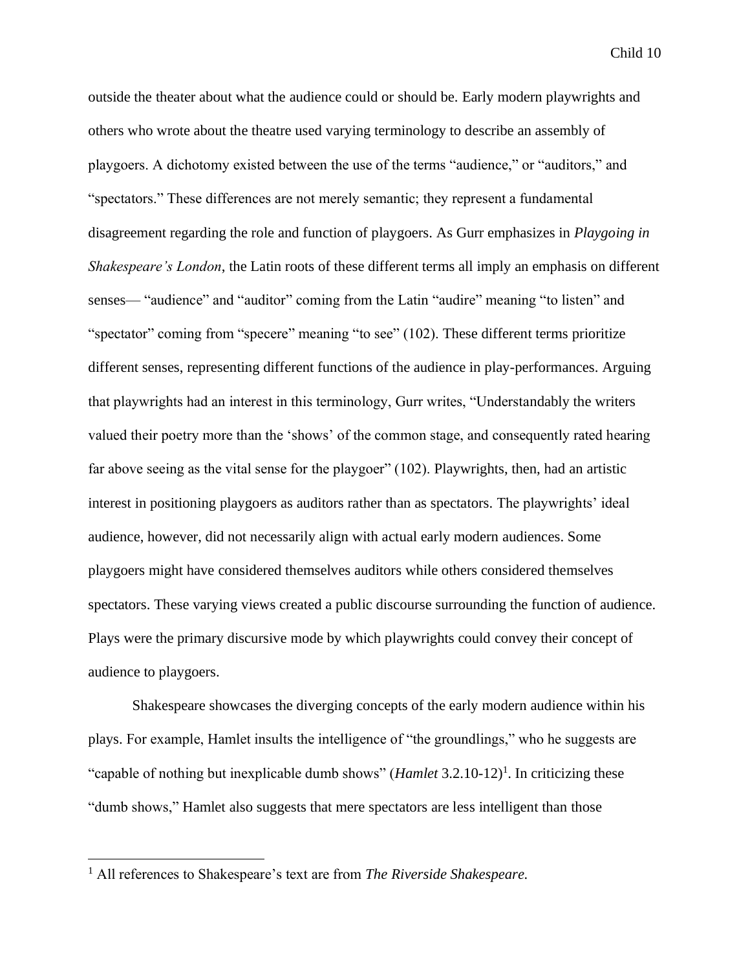outside the theater about what the audience could or should be. Early modern playwrights and others who wrote about the theatre used varying terminology to describe an assembly of playgoers. A dichotomy existed between the use of the terms "audience," or "auditors," and "spectators." These differences are not merely semantic; they represent a fundamental disagreement regarding the role and function of playgoers. As Gurr emphasizes in *Playgoing in Shakespeare's London*, the Latin roots of these different terms all imply an emphasis on different senses— "audience" and "auditor" coming from the Latin "audire" meaning "to listen" and "spectator" coming from "specere" meaning "to see" (102). These different terms prioritize different senses, representing different functions of the audience in play-performances. Arguing that playwrights had an interest in this terminology, Gurr writes, "Understandably the writers valued their poetry more than the 'shows' of the common stage, and consequently rated hearing far above seeing as the vital sense for the playgoer" (102). Playwrights, then, had an artistic interest in positioning playgoers as auditors rather than as spectators. The playwrights' ideal audience, however, did not necessarily align with actual early modern audiences. Some playgoers might have considered themselves auditors while others considered themselves spectators. These varying views created a public discourse surrounding the function of audience. Plays were the primary discursive mode by which playwrights could convey their concept of audience to playgoers.

Shakespeare showcases the diverging concepts of the early modern audience within his plays. For example, Hamlet insults the intelligence of "the groundlings," who he suggests are "capable of nothing but inexplicable dumb shows" (*Hamlet* 3.2.10-12)<sup>1</sup>. In criticizing these "dumb shows," Hamlet also suggests that mere spectators are less intelligent than those

<sup>1</sup> All references to Shakespeare's text are from *The Riverside Shakespeare.*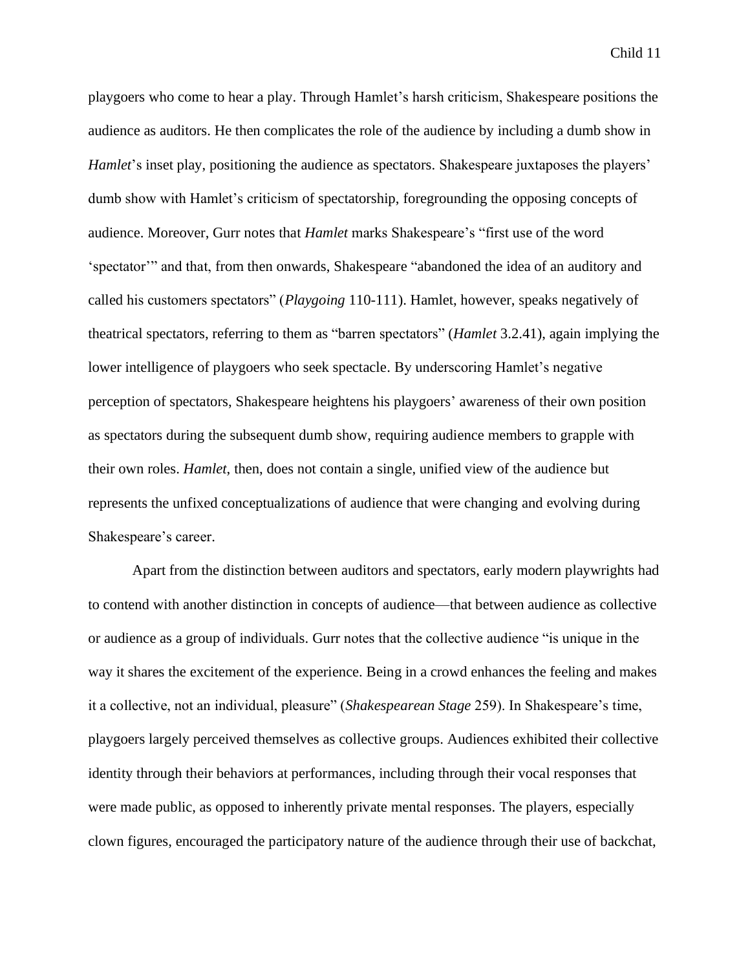playgoers who come to hear a play. Through Hamlet's harsh criticism, Shakespeare positions the audience as auditors. He then complicates the role of the audience by including a dumb show in *Hamlet*'s inset play, positioning the audience as spectators. Shakespeare juxtaposes the players' dumb show with Hamlet's criticism of spectatorship, foregrounding the opposing concepts of audience. Moreover, Gurr notes that *Hamlet* marks Shakespeare's "first use of the word 'spectator'" and that, from then onwards, Shakespeare "abandoned the idea of an auditory and called his customers spectators" (*Playgoing* 110-111). Hamlet, however, speaks negatively of theatrical spectators, referring to them as "barren spectators" (*Hamlet* 3.2.41), again implying the lower intelligence of playgoers who seek spectacle. By underscoring Hamlet's negative perception of spectators, Shakespeare heightens his playgoers' awareness of their own position as spectators during the subsequent dumb show, requiring audience members to grapple with their own roles. *Hamlet*, then, does not contain a single, unified view of the audience but represents the unfixed conceptualizations of audience that were changing and evolving during Shakespeare's career.

Apart from the distinction between auditors and spectators, early modern playwrights had to contend with another distinction in concepts of audience—that between audience as collective or audience as a group of individuals. Gurr notes that the collective audience "is unique in the way it shares the excitement of the experience. Being in a crowd enhances the feeling and makes it a collective, not an individual, pleasure" (*Shakespearean Stage* 259). In Shakespeare's time, playgoers largely perceived themselves as collective groups. Audiences exhibited their collective identity through their behaviors at performances, including through their vocal responses that were made public, as opposed to inherently private mental responses. The players, especially clown figures, encouraged the participatory nature of the audience through their use of backchat,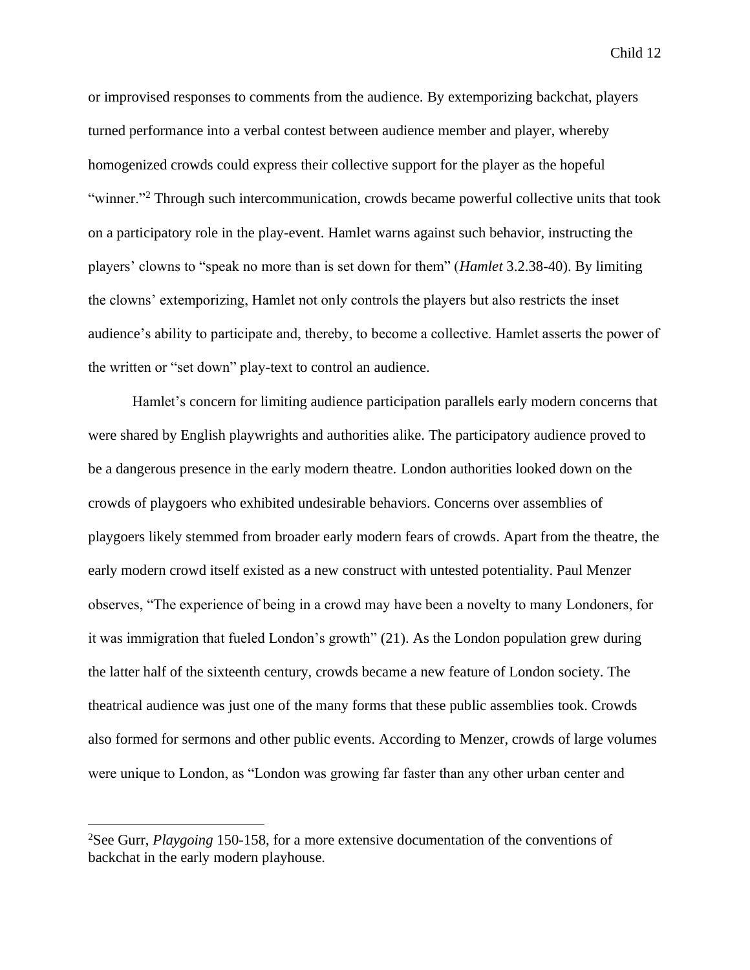or improvised responses to comments from the audience. By extemporizing backchat, players turned performance into a verbal contest between audience member and player, whereby homogenized crowds could express their collective support for the player as the hopeful "winner."<sup>2</sup> Through such intercommunication, crowds became powerful collective units that took on a participatory role in the play-event. Hamlet warns against such behavior, instructing the players' clowns to "speak no more than is set down for them" (*Hamlet* 3.2.38-40). By limiting the clowns' extemporizing, Hamlet not only controls the players but also restricts the inset audience's ability to participate and, thereby, to become a collective. Hamlet asserts the power of the written or "set down" play-text to control an audience.

Hamlet's concern for limiting audience participation parallels early modern concerns that were shared by English playwrights and authorities alike. The participatory audience proved to be a dangerous presence in the early modern theatre. London authorities looked down on the crowds of playgoers who exhibited undesirable behaviors. Concerns over assemblies of playgoers likely stemmed from broader early modern fears of crowds. Apart from the theatre, the early modern crowd itself existed as a new construct with untested potentiality. Paul Menzer observes, "The experience of being in a crowd may have been a novelty to many Londoners, for it was immigration that fueled London's growth" (21). As the London population grew during the latter half of the sixteenth century, crowds became a new feature of London society. The theatrical audience was just one of the many forms that these public assemblies took. Crowds also formed for sermons and other public events. According to Menzer, crowds of large volumes were unique to London, as "London was growing far faster than any other urban center and

<sup>2</sup>See Gurr, *Playgoing* 150-158, for a more extensive documentation of the conventions of backchat in the early modern playhouse.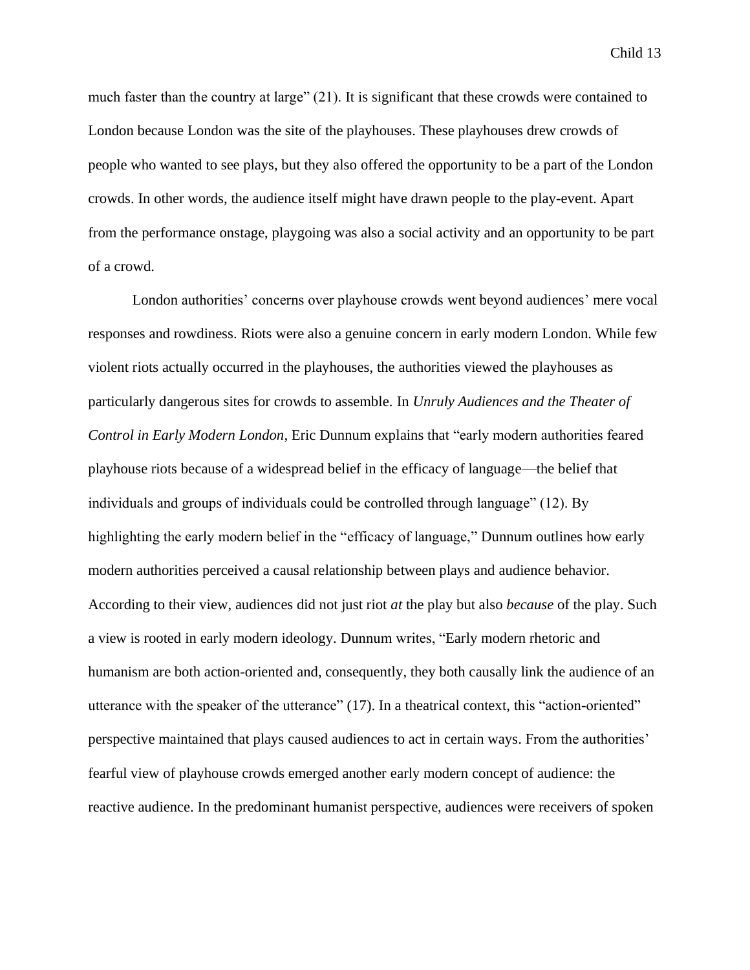much faster than the country at large" (21). It is significant that these crowds were contained to London because London was the site of the playhouses. These playhouses drew crowds of people who wanted to see plays, but they also offered the opportunity to be a part of the London crowds. In other words, the audience itself might have drawn people to the play-event. Apart from the performance onstage, playgoing was also a social activity and an opportunity to be part of a crowd.

London authorities' concerns over playhouse crowds went beyond audiences' mere vocal responses and rowdiness. Riots were also a genuine concern in early modern London. While few violent riots actually occurred in the playhouses, the authorities viewed the playhouses as particularly dangerous sites for crowds to assemble. In *Unruly Audiences and the Theater of Control in Early Modern London*, Eric Dunnum explains that "early modern authorities feared playhouse riots because of a widespread belief in the efficacy of language—the belief that individuals and groups of individuals could be controlled through language" (12). By highlighting the early modern belief in the "efficacy of language," Dunnum outlines how early modern authorities perceived a causal relationship between plays and audience behavior. According to their view, audiences did not just riot *at* the play but also *because* of the play. Such a view is rooted in early modern ideology. Dunnum writes, "Early modern rhetoric and humanism are both action-oriented and, consequently, they both causally link the audience of an utterance with the speaker of the utterance" (17). In a theatrical context, this "action-oriented" perspective maintained that plays caused audiences to act in certain ways. From the authorities' fearful view of playhouse crowds emerged another early modern concept of audience: the reactive audience. In the predominant humanist perspective, audiences were receivers of spoken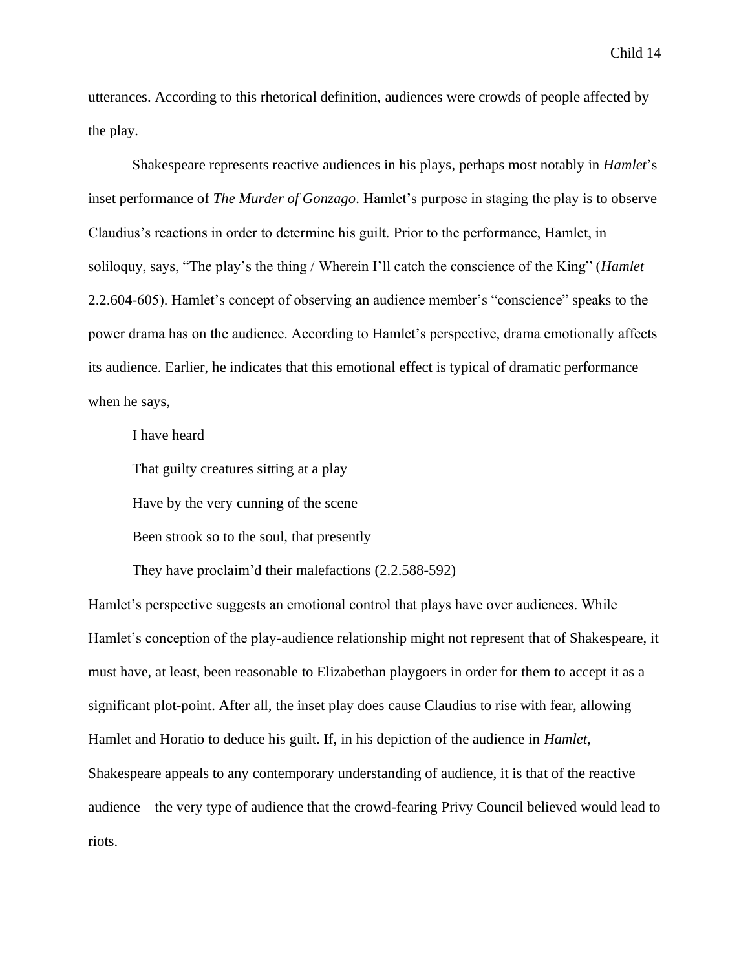utterances. According to this rhetorical definition, audiences were crowds of people affected by the play.

Shakespeare represents reactive audiences in his plays, perhaps most notably in *Hamlet*'s inset performance of *The Murder of Gonzago*. Hamlet's purpose in staging the play is to observe Claudius's reactions in order to determine his guilt. Prior to the performance, Hamlet, in soliloquy, says, "The play's the thing / Wherein I'll catch the conscience of the King" (*Hamlet*  2.2.604-605). Hamlet's concept of observing an audience member's "conscience" speaks to the power drama has on the audience. According to Hamlet's perspective, drama emotionally affects its audience. Earlier, he indicates that this emotional effect is typical of dramatic performance when he says,

I have heard

That guilty creatures sitting at a play

Have by the very cunning of the scene

Been strook so to the soul, that presently

They have proclaim'd their malefactions (2.2.588-592)

Hamlet's perspective suggests an emotional control that plays have over audiences. While Hamlet's conception of the play-audience relationship might not represent that of Shakespeare, it must have, at least, been reasonable to Elizabethan playgoers in order for them to accept it as a significant plot-point. After all, the inset play does cause Claudius to rise with fear, allowing Hamlet and Horatio to deduce his guilt. If, in his depiction of the audience in *Hamlet*, Shakespeare appeals to any contemporary understanding of audience, it is that of the reactive audience—the very type of audience that the crowd-fearing Privy Council believed would lead to riots.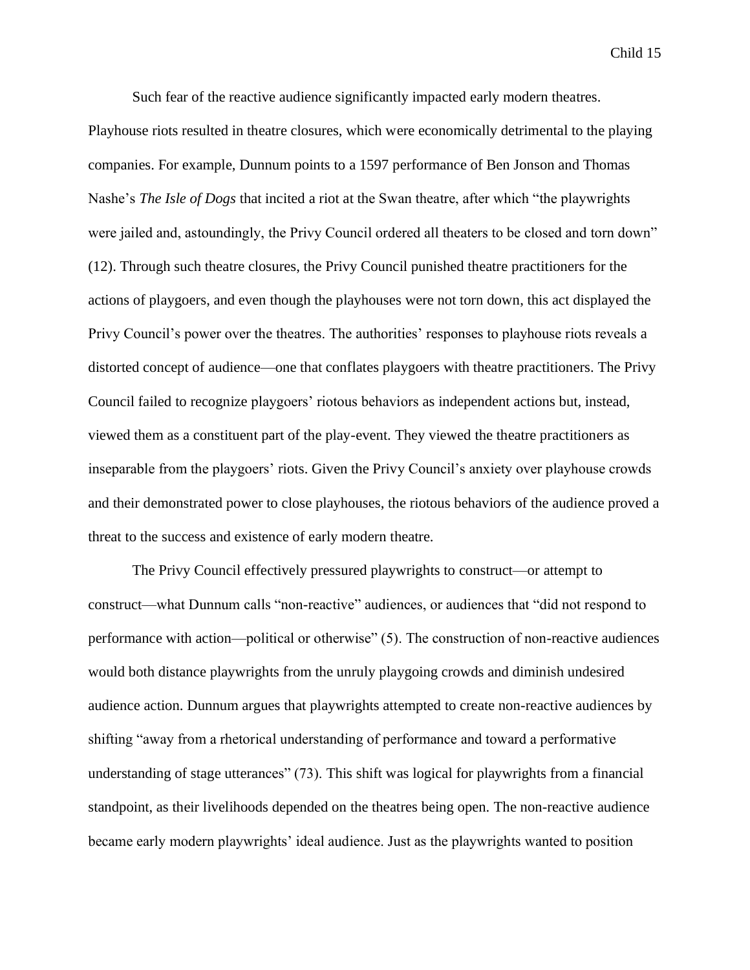Such fear of the reactive audience significantly impacted early modern theatres.

Playhouse riots resulted in theatre closures, which were economically detrimental to the playing companies. For example, Dunnum points to a 1597 performance of Ben Jonson and Thomas Nashe's *The Isle of Dogs* that incited a riot at the Swan theatre, after which "the playwrights were jailed and, astoundingly, the Privy Council ordered all theaters to be closed and torn down" (12). Through such theatre closures, the Privy Council punished theatre practitioners for the actions of playgoers, and even though the playhouses were not torn down, this act displayed the Privy Council's power over the theatres. The authorities' responses to playhouse riots reveals a distorted concept of audience—one that conflates playgoers with theatre practitioners. The Privy Council failed to recognize playgoers' riotous behaviors as independent actions but, instead, viewed them as a constituent part of the play-event. They viewed the theatre practitioners as inseparable from the playgoers' riots. Given the Privy Council's anxiety over playhouse crowds and their demonstrated power to close playhouses, the riotous behaviors of the audience proved a threat to the success and existence of early modern theatre.

The Privy Council effectively pressured playwrights to construct—or attempt to construct—what Dunnum calls "non-reactive" audiences, or audiences that "did not respond to performance with action—political or otherwise" (5). The construction of non-reactive audiences would both distance playwrights from the unruly playgoing crowds and diminish undesired audience action. Dunnum argues that playwrights attempted to create non-reactive audiences by shifting "away from a rhetorical understanding of performance and toward a performative understanding of stage utterances" (73). This shift was logical for playwrights from a financial standpoint, as their livelihoods depended on the theatres being open. The non-reactive audience became early modern playwrights' ideal audience. Just as the playwrights wanted to position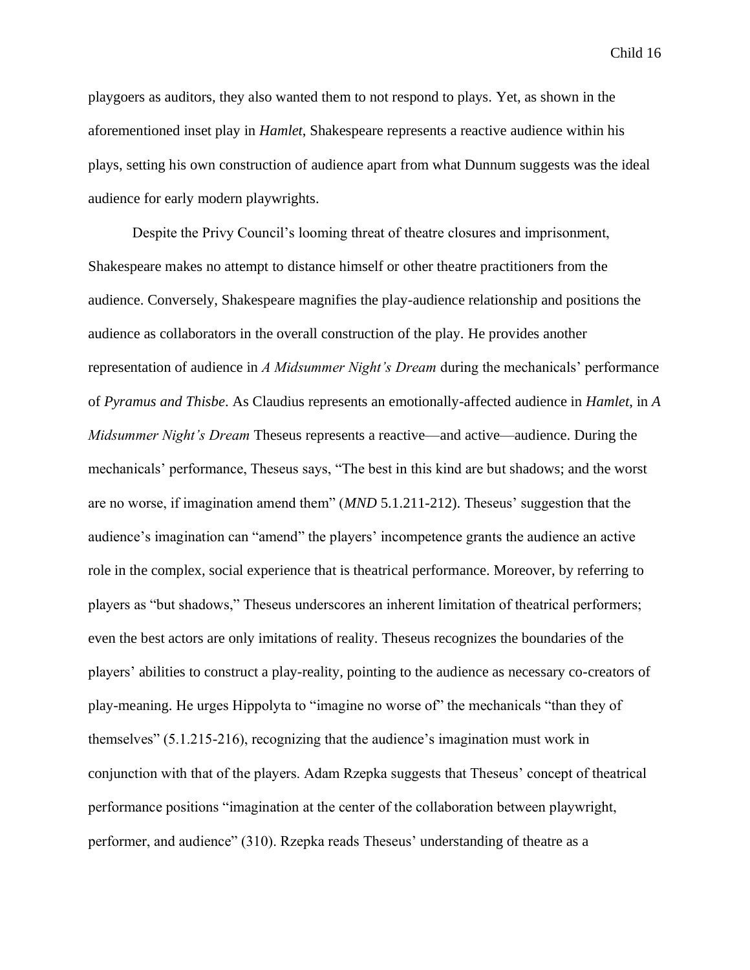playgoers as auditors, they also wanted them to not respond to plays. Yet, as shown in the aforementioned inset play in *Hamlet*, Shakespeare represents a reactive audience within his plays, setting his own construction of audience apart from what Dunnum suggests was the ideal audience for early modern playwrights.

Despite the Privy Council's looming threat of theatre closures and imprisonment, Shakespeare makes no attempt to distance himself or other theatre practitioners from the audience. Conversely, Shakespeare magnifies the play-audience relationship and positions the audience as collaborators in the overall construction of the play. He provides another representation of audience in *A Midsummer Night's Dream* during the mechanicals' performance of *Pyramus and Thisbe*. As Claudius represents an emotionally-affected audience in *Hamlet*, in *A Midsummer Night's Dream* Theseus represents a reactive—and active—audience. During the mechanicals' performance, Theseus says, "The best in this kind are but shadows; and the worst are no worse, if imagination amend them" (*MND* 5.1.211-212). Theseus' suggestion that the audience's imagination can "amend" the players' incompetence grants the audience an active role in the complex, social experience that is theatrical performance. Moreover, by referring to players as "but shadows," Theseus underscores an inherent limitation of theatrical performers; even the best actors are only imitations of reality. Theseus recognizes the boundaries of the players' abilities to construct a play-reality, pointing to the audience as necessary co-creators of play-meaning. He urges Hippolyta to "imagine no worse of" the mechanicals "than they of themselves" (5.1.215-216), recognizing that the audience's imagination must work in conjunction with that of the players. Adam Rzepka suggests that Theseus' concept of theatrical performance positions "imagination at the center of the collaboration between playwright, performer, and audience" (310). Rzepka reads Theseus' understanding of theatre as a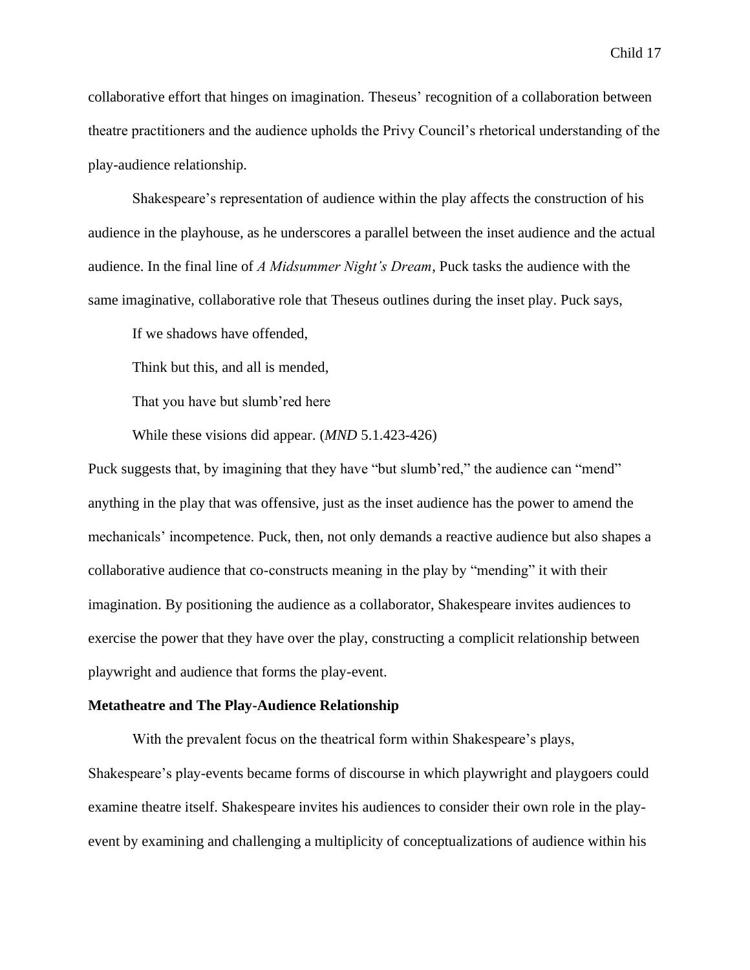collaborative effort that hinges on imagination. Theseus' recognition of a collaboration between theatre practitioners and the audience upholds the Privy Council's rhetorical understanding of the play-audience relationship.

Shakespeare's representation of audience within the play affects the construction of his audience in the playhouse, as he underscores a parallel between the inset audience and the actual audience. In the final line of *A Midsummer Night's Dream*, Puck tasks the audience with the same imaginative, collaborative role that Theseus outlines during the inset play. Puck says,

If we shadows have offended,

Think but this, and all is mended,

That you have but slumb'red here

While these visions did appear. (*MND* 5.1.423-426)

Puck suggests that, by imagining that they have "but slumb'red," the audience can "mend" anything in the play that was offensive, just as the inset audience has the power to amend the mechanicals' incompetence. Puck, then, not only demands a reactive audience but also shapes a collaborative audience that co-constructs meaning in the play by "mending" it with their imagination. By positioning the audience as a collaborator, Shakespeare invites audiences to exercise the power that they have over the play, constructing a complicit relationship between playwright and audience that forms the play-event.

#### **Metatheatre and The Play-Audience Relationship**

With the prevalent focus on the theatrical form within Shakespeare's plays, Shakespeare's play-events became forms of discourse in which playwright and playgoers could examine theatre itself. Shakespeare invites his audiences to consider their own role in the playevent by examining and challenging a multiplicity of conceptualizations of audience within his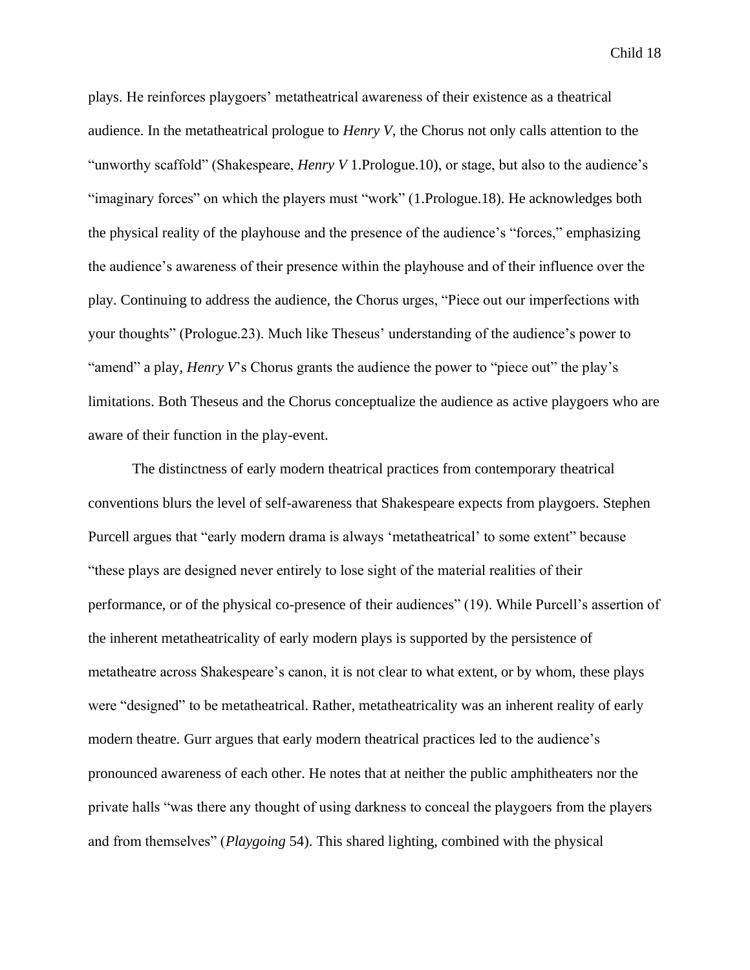plays. He reinforces playgoers' metatheatrical awareness of their existence as a theatrical audience. In the metatheatrical prologue to *Henry V*, the Chorus not only calls attention to the "unworthy scaffold" (Shakespeare, *Henry V* 1.Prologue.10), or stage, but also to the audience's "imaginary forces" on which the players must "work" (1.Prologue.18). He acknowledges both the physical reality of the playhouse and the presence of the audience's "forces," emphasizing the audience's awareness of their presence within the playhouse and of their influence over the play. Continuing to address the audience, the Chorus urges, "Piece out our imperfections with your thoughts" (Prologue.23). Much like Theseus' understanding of the audience's power to "amend" a play, *Henry V*'s Chorus grants the audience the power to "piece out" the play's limitations. Both Theseus and the Chorus conceptualize the audience as active playgoers who are aware of their function in the play-event.

The distinctness of early modern theatrical practices from contemporary theatrical conventions blurs the level of self-awareness that Shakespeare expects from playgoers. Stephen Purcell argues that "early modern drama is always 'metatheatrical' to some extent" because "these plays are designed never entirely to lose sight of the material realities of their performance, or of the physical co-presence of their audiences" (19). While Purcell's assertion of the inherent metatheatricality of early modern plays is supported by the persistence of metatheatre across Shakespeare's canon, it is not clear to what extent, or by whom, these plays were "designed" to be metatheatrical. Rather, metatheatricality was an inherent reality of early modern theatre. Gurr argues that early modern theatrical practices led to the audience's pronounced awareness of each other. He notes that at neither the public amphitheaters nor the private halls "was there any thought of using darkness to conceal the playgoers from the players and from themselves" (*Playgoing* 54). This shared lighting, combined with the physical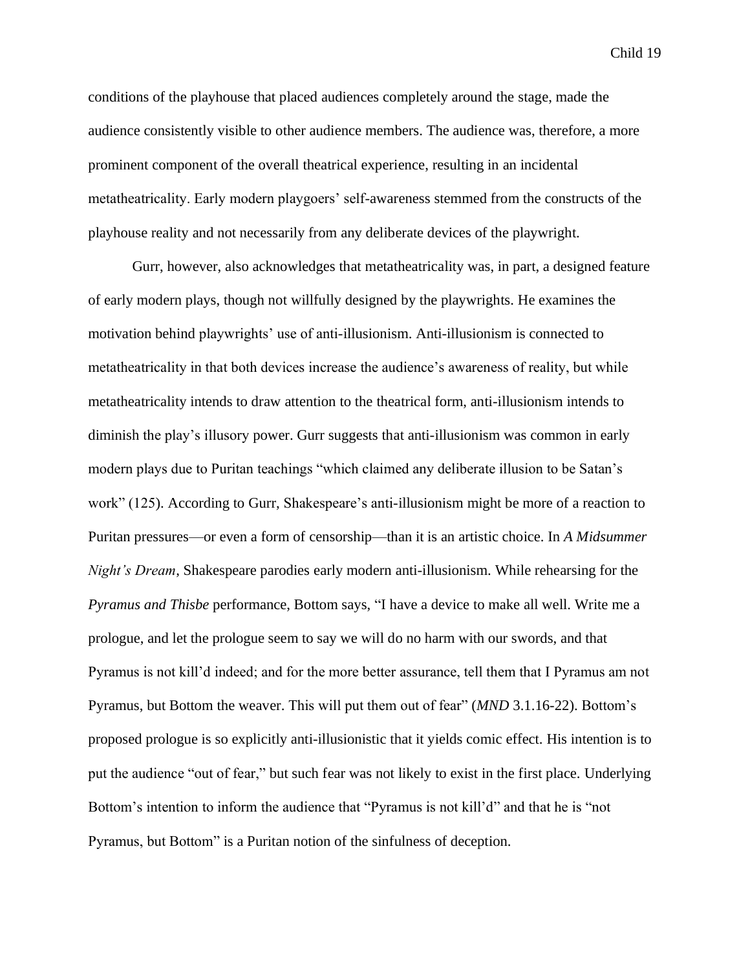conditions of the playhouse that placed audiences completely around the stage, made the audience consistently visible to other audience members. The audience was, therefore, a more prominent component of the overall theatrical experience, resulting in an incidental metatheatricality. Early modern playgoers' self-awareness stemmed from the constructs of the playhouse reality and not necessarily from any deliberate devices of the playwright.

Gurr, however, also acknowledges that metatheatricality was, in part, a designed feature of early modern plays, though not willfully designed by the playwrights. He examines the motivation behind playwrights' use of anti-illusionism. Anti-illusionism is connected to metatheatricality in that both devices increase the audience's awareness of reality, but while metatheatricality intends to draw attention to the theatrical form, anti-illusionism intends to diminish the play's illusory power. Gurr suggests that anti-illusionism was common in early modern plays due to Puritan teachings "which claimed any deliberate illusion to be Satan's work" (125). According to Gurr, Shakespeare's anti-illusionism might be more of a reaction to Puritan pressures—or even a form of censorship—than it is an artistic choice. In *A Midsummer Night's Dream*, Shakespeare parodies early modern anti-illusionism. While rehearsing for the *Pyramus and Thisbe* performance, Bottom says, "I have a device to make all well. Write me a prologue, and let the prologue seem to say we will do no harm with our swords, and that Pyramus is not kill'd indeed; and for the more better assurance, tell them that I Pyramus am not Pyramus, but Bottom the weaver. This will put them out of fear" (*MND* 3.1.16-22). Bottom's proposed prologue is so explicitly anti-illusionistic that it yields comic effect. His intention is to put the audience "out of fear," but such fear was not likely to exist in the first place. Underlying Bottom's intention to inform the audience that "Pyramus is not kill'd" and that he is "not Pyramus, but Bottom" is a Puritan notion of the sinfulness of deception.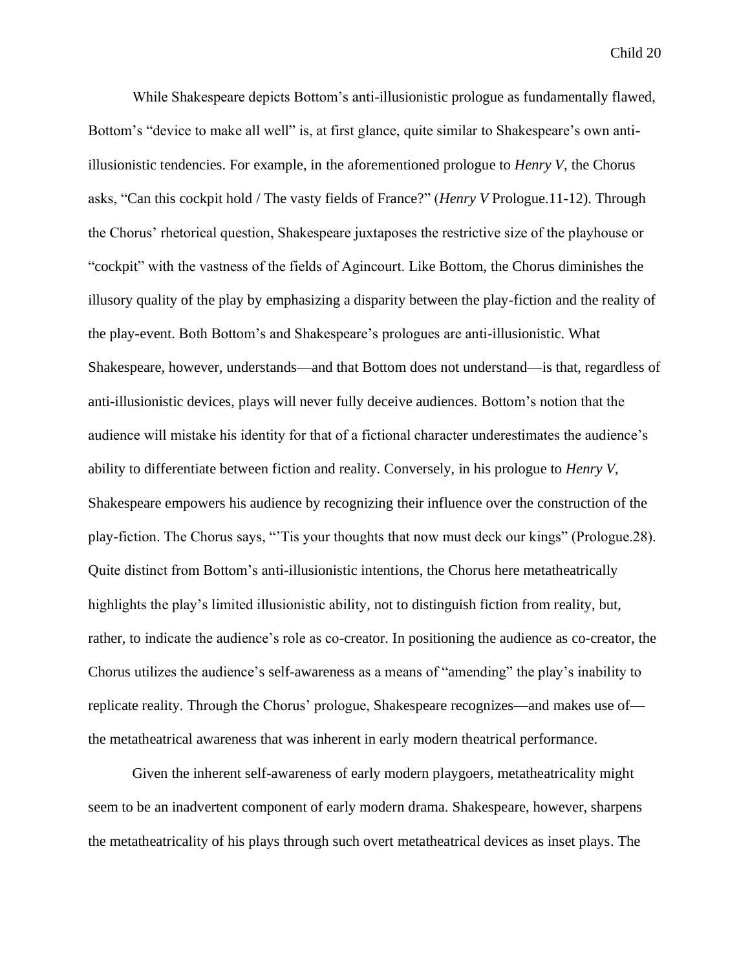While Shakespeare depicts Bottom's anti-illusionistic prologue as fundamentally flawed, Bottom's "device to make all well" is, at first glance, quite similar to Shakespeare's own antiillusionistic tendencies. For example, in the aforementioned prologue to *Henry V*, the Chorus asks, "Can this cockpit hold / The vasty fields of France?" (*Henry V* Prologue.11-12). Through the Chorus' rhetorical question, Shakespeare juxtaposes the restrictive size of the playhouse or "cockpit" with the vastness of the fields of Agincourt. Like Bottom, the Chorus diminishes the illusory quality of the play by emphasizing a disparity between the play-fiction and the reality of the play-event. Both Bottom's and Shakespeare's prologues are anti-illusionistic. What Shakespeare, however, understands—and that Bottom does not understand—is that, regardless of anti-illusionistic devices, plays will never fully deceive audiences. Bottom's notion that the audience will mistake his identity for that of a fictional character underestimates the audience's ability to differentiate between fiction and reality. Conversely, in his prologue to *Henry V*, Shakespeare empowers his audience by recognizing their influence over the construction of the play-fiction. The Chorus says, "'Tis your thoughts that now must deck our kings" (Prologue.28). Quite distinct from Bottom's anti-illusionistic intentions, the Chorus here metatheatrically highlights the play's limited illusionistic ability, not to distinguish fiction from reality, but, rather, to indicate the audience's role as co-creator. In positioning the audience as co-creator, the Chorus utilizes the audience's self-awareness as a means of "amending" the play's inability to replicate reality. Through the Chorus' prologue, Shakespeare recognizes—and makes use of the metatheatrical awareness that was inherent in early modern theatrical performance.

Given the inherent self-awareness of early modern playgoers, metatheatricality might seem to be an inadvertent component of early modern drama. Shakespeare, however, sharpens the metatheatricality of his plays through such overt metatheatrical devices as inset plays. The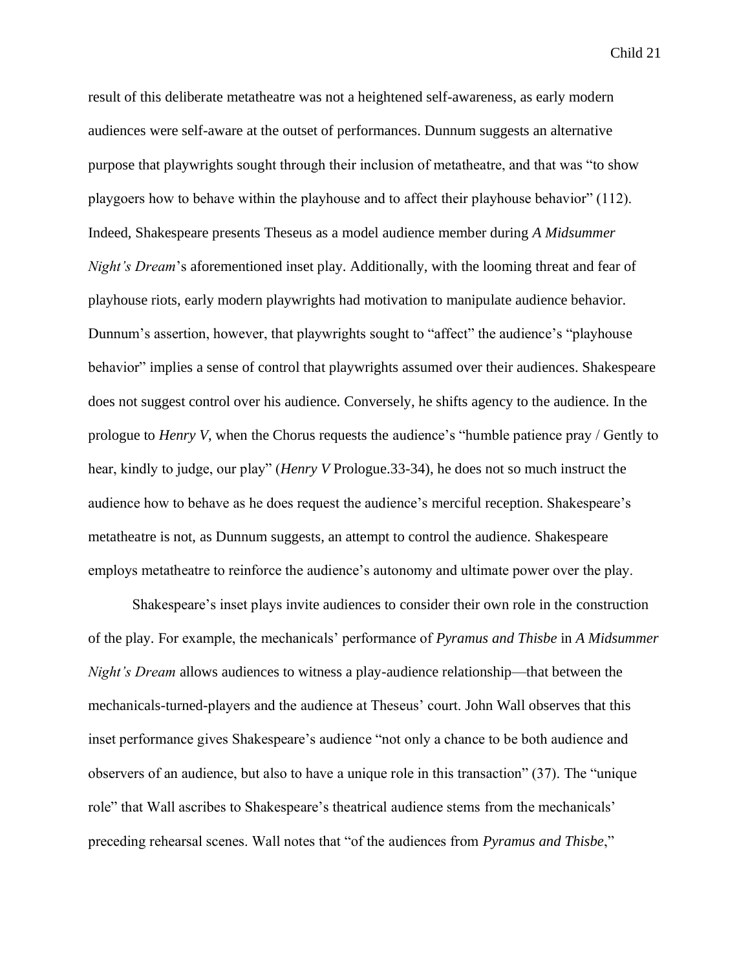result of this deliberate metatheatre was not a heightened self-awareness, as early modern audiences were self-aware at the outset of performances. Dunnum suggests an alternative purpose that playwrights sought through their inclusion of metatheatre, and that was "to show playgoers how to behave within the playhouse and to affect their playhouse behavior" (112). Indeed, Shakespeare presents Theseus as a model audience member during *A Midsummer Night's Dream*'s aforementioned inset play. Additionally, with the looming threat and fear of playhouse riots, early modern playwrights had motivation to manipulate audience behavior. Dunnum's assertion, however, that playwrights sought to "affect" the audience's "playhouse behavior" implies a sense of control that playwrights assumed over their audiences. Shakespeare does not suggest control over his audience. Conversely, he shifts agency to the audience. In the prologue to *Henry V*, when the Chorus requests the audience's "humble patience pray / Gently to hear, kindly to judge, our play" (*Henry V* Prologue.33-34), he does not so much instruct the audience how to behave as he does request the audience's merciful reception. Shakespeare's metatheatre is not, as Dunnum suggests, an attempt to control the audience. Shakespeare employs metatheatre to reinforce the audience's autonomy and ultimate power over the play.

Shakespeare's inset plays invite audiences to consider their own role in the construction of the play. For example, the mechanicals' performance of *Pyramus and Thisbe* in *A Midsummer Night's Dream allows audiences to witness a play-audience relationship—that between the* mechanicals-turned-players and the audience at Theseus' court. John Wall observes that this inset performance gives Shakespeare's audience "not only a chance to be both audience and observers of an audience, but also to have a unique role in this transaction" (37). The "unique role" that Wall ascribes to Shakespeare's theatrical audience stems from the mechanicals' preceding rehearsal scenes. Wall notes that "of the audiences from *Pyramus and Thisbe*,"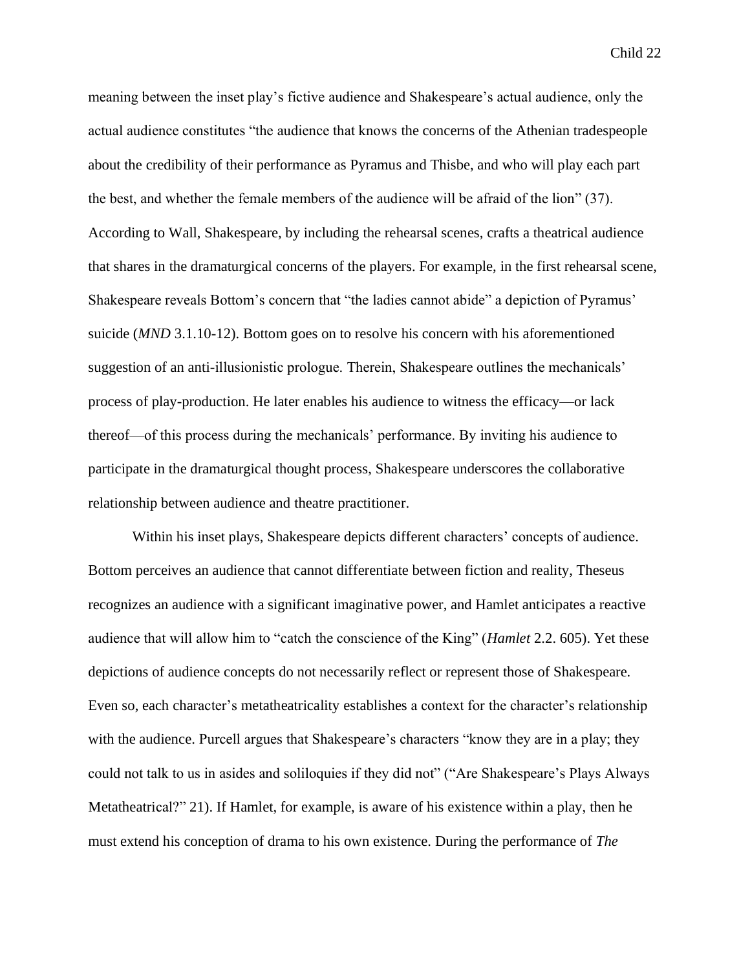meaning between the inset play's fictive audience and Shakespeare's actual audience, only the actual audience constitutes "the audience that knows the concerns of the Athenian tradespeople about the credibility of their performance as Pyramus and Thisbe, and who will play each part the best, and whether the female members of the audience will be afraid of the lion" (37). According to Wall, Shakespeare, by including the rehearsal scenes, crafts a theatrical audience that shares in the dramaturgical concerns of the players. For example, in the first rehearsal scene, Shakespeare reveals Bottom's concern that "the ladies cannot abide" a depiction of Pyramus' suicide (*MND* 3.1.10-12). Bottom goes on to resolve his concern with his aforementioned suggestion of an anti-illusionistic prologue. Therein, Shakespeare outlines the mechanicals' process of play-production. He later enables his audience to witness the efficacy—or lack thereof—of this process during the mechanicals' performance. By inviting his audience to participate in the dramaturgical thought process, Shakespeare underscores the collaborative relationship between audience and theatre practitioner.

Within his inset plays, Shakespeare depicts different characters' concepts of audience. Bottom perceives an audience that cannot differentiate between fiction and reality, Theseus recognizes an audience with a significant imaginative power, and Hamlet anticipates a reactive audience that will allow him to "catch the conscience of the King" (*Hamlet* 2.2. 605). Yet these depictions of audience concepts do not necessarily reflect or represent those of Shakespeare. Even so, each character's metatheatricality establishes a context for the character's relationship with the audience. Purcell argues that Shakespeare's characters "know they are in a play; they could not talk to us in asides and soliloquies if they did not" ("Are Shakespeare's Plays Always Metatheatrical?" 21). If Hamlet, for example, is aware of his existence within a play, then he must extend his conception of drama to his own existence. During the performance of *The*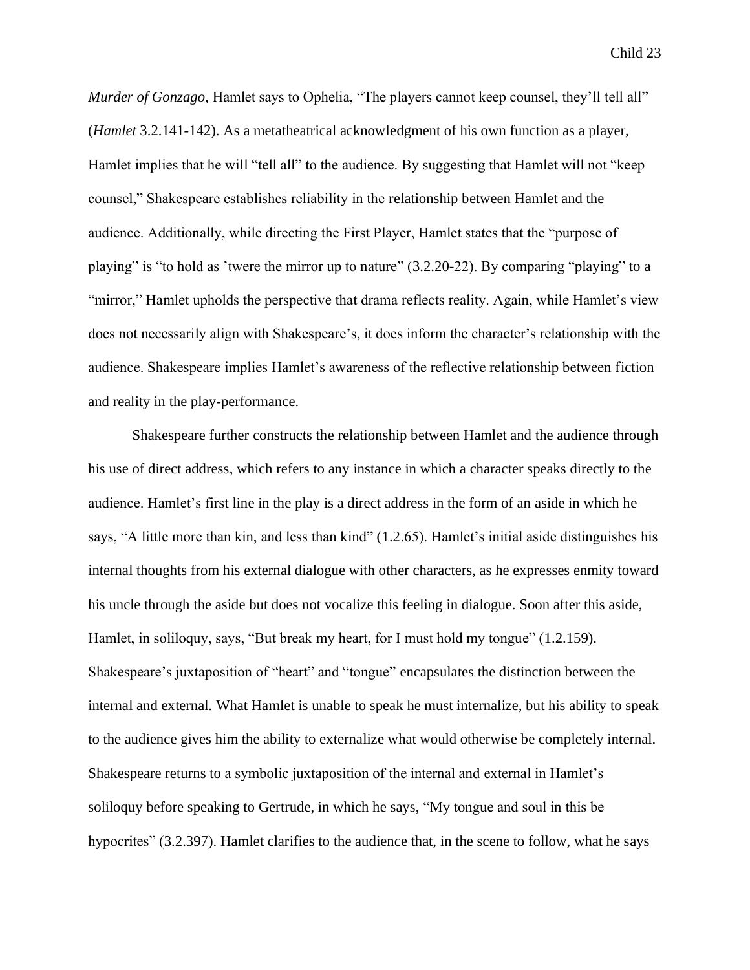*Murder of Gonzago*, Hamlet says to Ophelia, "The players cannot keep counsel, they'll tell all" (*Hamlet* 3.2.141-142). As a metatheatrical acknowledgment of his own function as a player, Hamlet implies that he will "tell all" to the audience. By suggesting that Hamlet will not "keep counsel," Shakespeare establishes reliability in the relationship between Hamlet and the audience. Additionally, while directing the First Player, Hamlet states that the "purpose of playing" is "to hold as 'twere the mirror up to nature" (3.2.20-22). By comparing "playing" to a "mirror," Hamlet upholds the perspective that drama reflects reality. Again, while Hamlet's view does not necessarily align with Shakespeare's, it does inform the character's relationship with the audience. Shakespeare implies Hamlet's awareness of the reflective relationship between fiction and reality in the play-performance.

Shakespeare further constructs the relationship between Hamlet and the audience through his use of direct address, which refers to any instance in which a character speaks directly to the audience. Hamlet's first line in the play is a direct address in the form of an aside in which he says, "A little more than kin, and less than kind" (1.2.65). Hamlet's initial aside distinguishes his internal thoughts from his external dialogue with other characters, as he expresses enmity toward his uncle through the aside but does not vocalize this feeling in dialogue. Soon after this aside, Hamlet, in soliloquy, says, "But break my heart, for I must hold my tongue" (1.2.159). Shakespeare's juxtaposition of "heart" and "tongue" encapsulates the distinction between the internal and external. What Hamlet is unable to speak he must internalize, but his ability to speak to the audience gives him the ability to externalize what would otherwise be completely internal. Shakespeare returns to a symbolic juxtaposition of the internal and external in Hamlet's soliloquy before speaking to Gertrude, in which he says, "My tongue and soul in this be hypocrites" (3.2.397). Hamlet clarifies to the audience that, in the scene to follow, what he says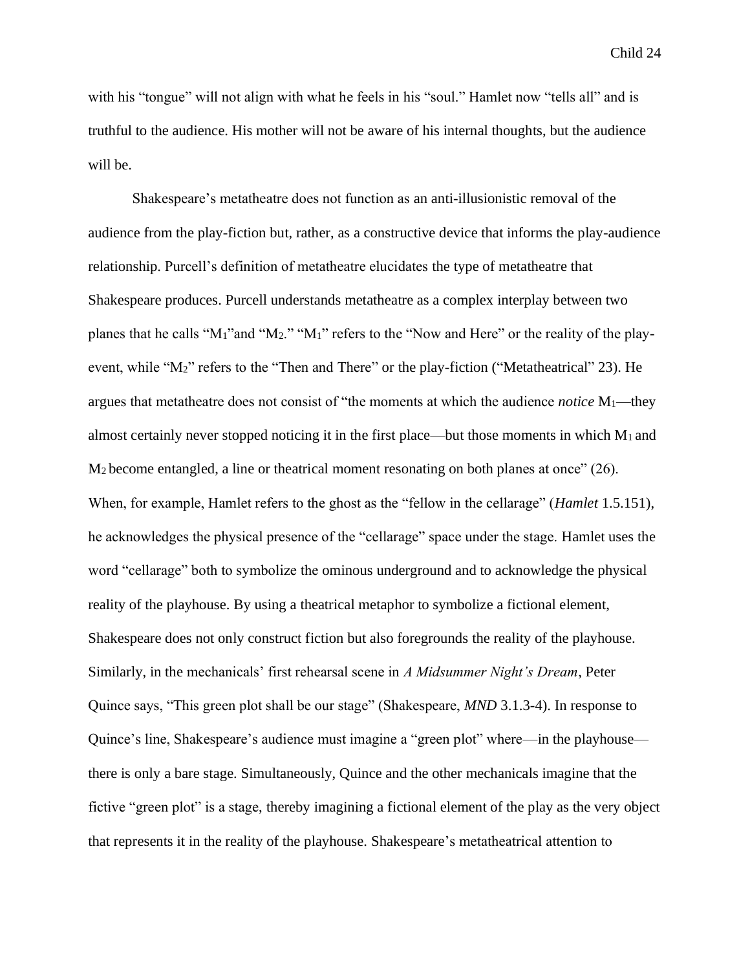with his "tongue" will not align with what he feels in his "soul." Hamlet now "tells all" and is truthful to the audience. His mother will not be aware of his internal thoughts, but the audience will be.

Shakespeare's metatheatre does not function as an anti-illusionistic removal of the audience from the play-fiction but, rather, as a constructive device that informs the play-audience relationship. Purcell's definition of metatheatre elucidates the type of metatheatre that Shakespeare produces. Purcell understands metatheatre as a complex interplay between two planes that he calls "M1"and "M2." "M1" refers to the "Now and Here" or the reality of the playevent, while "M2" refers to the "Then and There" or the play-fiction ("Metatheatrical" 23). He argues that metatheatre does not consist of "the moments at which the audience *notice* M1—they almost certainly never stopped noticing it in the first place—but those moments in which  $M_1$  and M2 become entangled, a line or theatrical moment resonating on both planes at once" (26). When, for example, Hamlet refers to the ghost as the "fellow in the cellarage" (*Hamlet* 1.5.151), he acknowledges the physical presence of the "cellarage" space under the stage. Hamlet uses the word "cellarage" both to symbolize the ominous underground and to acknowledge the physical reality of the playhouse. By using a theatrical metaphor to symbolize a fictional element, Shakespeare does not only construct fiction but also foregrounds the reality of the playhouse. Similarly, in the mechanicals' first rehearsal scene in *A Midsummer Night's Dream*, Peter Quince says, "This green plot shall be our stage" (Shakespeare, *MND* 3.1.3-4). In response to Quince's line, Shakespeare's audience must imagine a "green plot" where—in the playhouse there is only a bare stage. Simultaneously, Quince and the other mechanicals imagine that the fictive "green plot" is a stage, thereby imagining a fictional element of the play as the very object that represents it in the reality of the playhouse. Shakespeare's metatheatrical attention to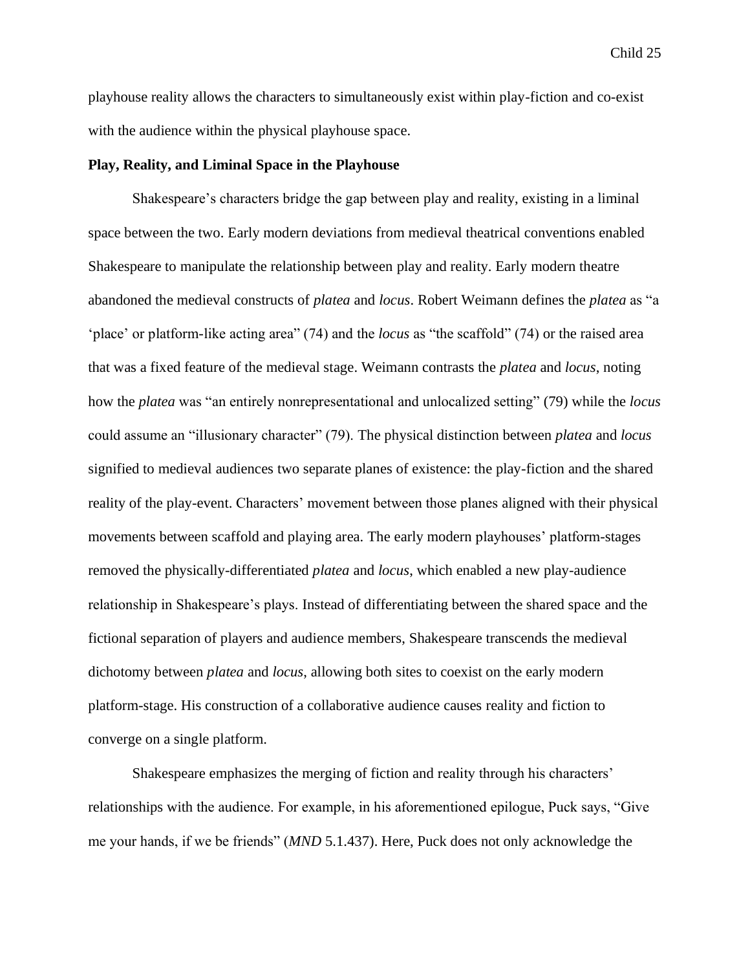playhouse reality allows the characters to simultaneously exist within play-fiction and co-exist with the audience within the physical playhouse space.

#### **Play, Reality, and Liminal Space in the Playhouse**

Shakespeare's characters bridge the gap between play and reality, existing in a liminal space between the two. Early modern deviations from medieval theatrical conventions enabled Shakespeare to manipulate the relationship between play and reality. Early modern theatre abandoned the medieval constructs of *platea* and *locus*. Robert Weimann defines the *platea* as "a 'place' or platform-like acting area" (74) and the *locus* as "the scaffold" (74) or the raised area that was a fixed feature of the medieval stage. Weimann contrasts the *platea* and *locus*, noting how the *platea* was "an entirely nonrepresentational and unlocalized setting" (79) while the *locus* could assume an "illusionary character" (79). The physical distinction between *platea* and *locus* signified to medieval audiences two separate planes of existence: the play-fiction and the shared reality of the play-event. Characters' movement between those planes aligned with their physical movements between scaffold and playing area. The early modern playhouses' platform-stages removed the physically-differentiated *platea* and *locus*, which enabled a new play-audience relationship in Shakespeare's plays. Instead of differentiating between the shared space and the fictional separation of players and audience members, Shakespeare transcends the medieval dichotomy between *platea* and *locus*, allowing both sites to coexist on the early modern platform-stage. His construction of a collaborative audience causes reality and fiction to converge on a single platform.

Shakespeare emphasizes the merging of fiction and reality through his characters' relationships with the audience. For example, in his aforementioned epilogue, Puck says, "Give me your hands, if we be friends" (*MND* 5.1.437). Here, Puck does not only acknowledge the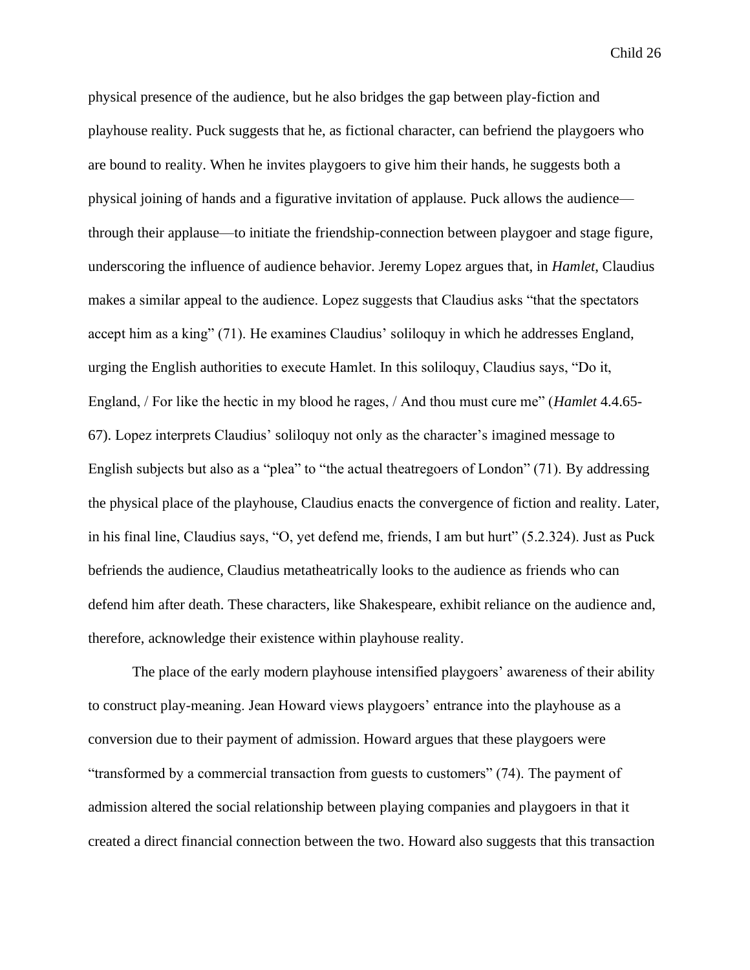physical presence of the audience, but he also bridges the gap between play-fiction and playhouse reality. Puck suggests that he, as fictional character, can befriend the playgoers who are bound to reality. When he invites playgoers to give him their hands, he suggests both a physical joining of hands and a figurative invitation of applause. Puck allows the audience through their applause—to initiate the friendship-connection between playgoer and stage figure, underscoring the influence of audience behavior. Jeremy Lopez argues that, in *Hamlet*, Claudius makes a similar appeal to the audience. Lopez suggests that Claudius asks "that the spectators accept him as a king" (71). He examines Claudius' soliloquy in which he addresses England, urging the English authorities to execute Hamlet. In this soliloquy, Claudius says, "Do it, England, / For like the hectic in my blood he rages, / And thou must cure me" (*Hamlet* 4.4.65- 67). Lopez interprets Claudius' soliloquy not only as the character's imagined message to English subjects but also as a "plea" to "the actual theatregoers of London" (71). By addressing the physical place of the playhouse, Claudius enacts the convergence of fiction and reality. Later, in his final line, Claudius says, "O, yet defend me, friends, I am but hurt" (5.2.324). Just as Puck befriends the audience, Claudius metatheatrically looks to the audience as friends who can defend him after death. These characters, like Shakespeare, exhibit reliance on the audience and, therefore, acknowledge their existence within playhouse reality.

The place of the early modern playhouse intensified playgoers' awareness of their ability to construct play-meaning. Jean Howard views playgoers' entrance into the playhouse as a conversion due to their payment of admission. Howard argues that these playgoers were "transformed by a commercial transaction from guests to customers" (74). The payment of admission altered the social relationship between playing companies and playgoers in that it created a direct financial connection between the two. Howard also suggests that this transaction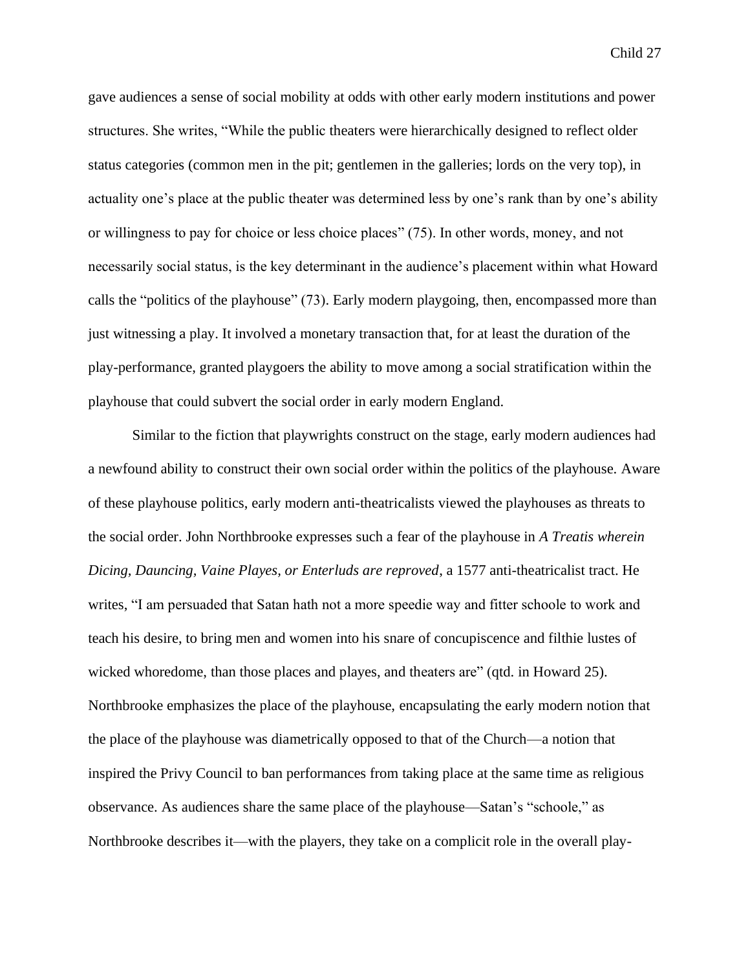gave audiences a sense of social mobility at odds with other early modern institutions and power structures. She writes, "While the public theaters were hierarchically designed to reflect older status categories (common men in the pit; gentlemen in the galleries; lords on the very top), in actuality one's place at the public theater was determined less by one's rank than by one's ability or willingness to pay for choice or less choice places" (75). In other words, money, and not necessarily social status, is the key determinant in the audience's placement within what Howard calls the "politics of the playhouse" (73). Early modern playgoing, then, encompassed more than just witnessing a play. It involved a monetary transaction that, for at least the duration of the play-performance, granted playgoers the ability to move among a social stratification within the playhouse that could subvert the social order in early modern England.

Similar to the fiction that playwrights construct on the stage, early modern audiences had a newfound ability to construct their own social order within the politics of the playhouse. Aware of these playhouse politics, early modern anti-theatricalists viewed the playhouses as threats to the social order. John Northbrooke expresses such a fear of the playhouse in *A Treatis wherein Dicing, Dauncing, Vaine Playes, or Enterluds are reproved*, a 1577 anti-theatricalist tract. He writes, "I am persuaded that Satan hath not a more speedie way and fitter schoole to work and teach his desire, to bring men and women into his snare of concupiscence and filthie lustes of wicked whoredome, than those places and playes, and theaters are" (qtd. in Howard 25). Northbrooke emphasizes the place of the playhouse, encapsulating the early modern notion that the place of the playhouse was diametrically opposed to that of the Church—a notion that inspired the Privy Council to ban performances from taking place at the same time as religious observance. As audiences share the same place of the playhouse—Satan's "schoole," as Northbrooke describes it—with the players, they take on a complicit role in the overall play-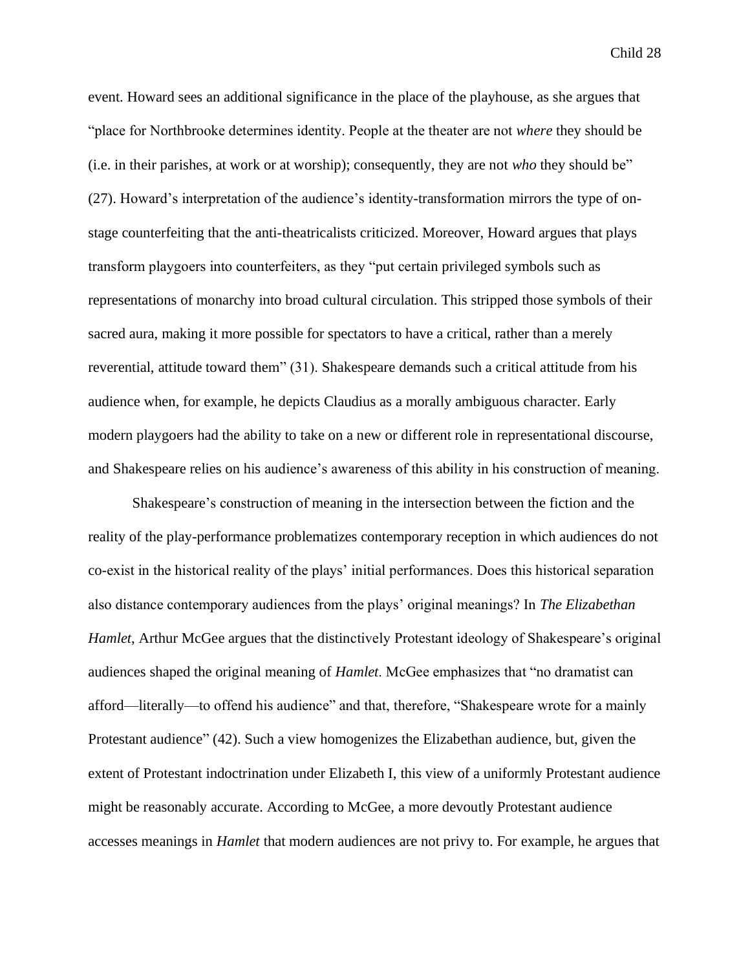event. Howard sees an additional significance in the place of the playhouse, as she argues that "place for Northbrooke determines identity. People at the theater are not *where* they should be (i.e. in their parishes, at work or at worship); consequently, they are not *who* they should be" (27). Howard's interpretation of the audience's identity-transformation mirrors the type of onstage counterfeiting that the anti-theatricalists criticized. Moreover, Howard argues that plays transform playgoers into counterfeiters, as they "put certain privileged symbols such as representations of monarchy into broad cultural circulation. This stripped those symbols of their sacred aura, making it more possible for spectators to have a critical, rather than a merely reverential, attitude toward them" (31). Shakespeare demands such a critical attitude from his audience when, for example, he depicts Claudius as a morally ambiguous character. Early modern playgoers had the ability to take on a new or different role in representational discourse, and Shakespeare relies on his audience's awareness of this ability in his construction of meaning.

Shakespeare's construction of meaning in the intersection between the fiction and the reality of the play-performance problematizes contemporary reception in which audiences do not co-exist in the historical reality of the plays' initial performances. Does this historical separation also distance contemporary audiences from the plays' original meanings? In *The Elizabethan Hamlet*, Arthur McGee argues that the distinctively Protestant ideology of Shakespeare's original audiences shaped the original meaning of *Hamlet*. McGee emphasizes that "no dramatist can afford—literally—to offend his audience" and that, therefore, "Shakespeare wrote for a mainly Protestant audience" (42). Such a view homogenizes the Elizabethan audience, but, given the extent of Protestant indoctrination under Elizabeth I, this view of a uniformly Protestant audience might be reasonably accurate. According to McGee, a more devoutly Protestant audience accesses meanings in *Hamlet* that modern audiences are not privy to. For example, he argues that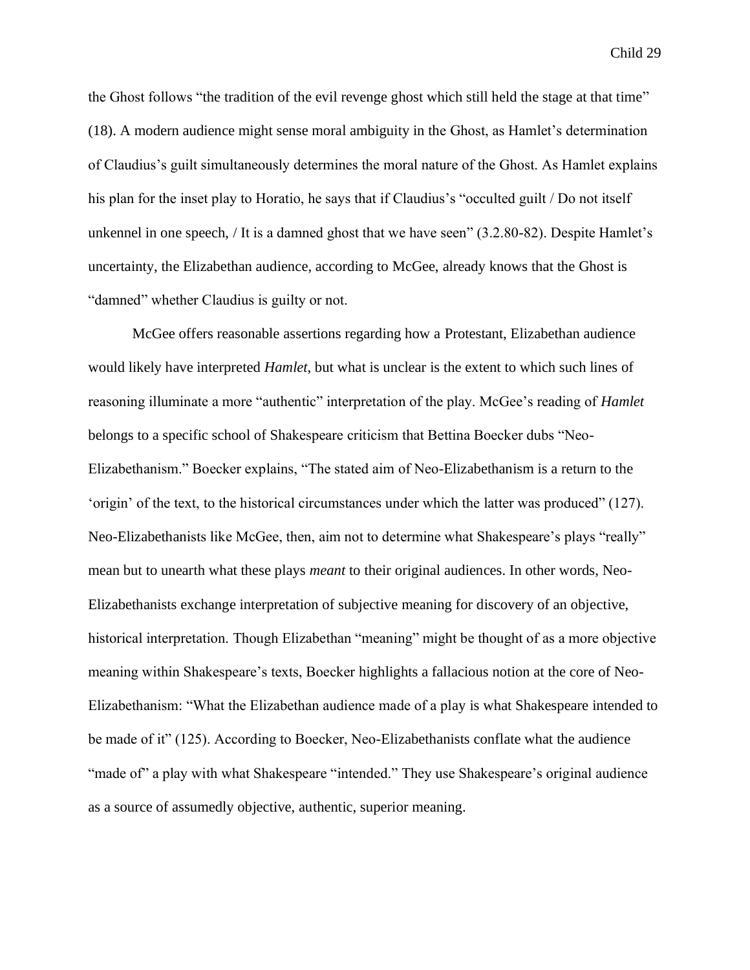the Ghost follows "the tradition of the evil revenge ghost which still held the stage at that time" (18). A modern audience might sense moral ambiguity in the Ghost, as Hamlet's determination of Claudius's guilt simultaneously determines the moral nature of the Ghost. As Hamlet explains his plan for the inset play to Horatio, he says that if Claudius's "occulted guilt / Do not itself unkennel in one speech, / It is a damned ghost that we have seen" (3.2.80-82). Despite Hamlet's uncertainty, the Elizabethan audience, according to McGee, already knows that the Ghost is "damned" whether Claudius is guilty or not.

McGee offers reasonable assertions regarding how a Protestant, Elizabethan audience would likely have interpreted *Hamlet*, but what is unclear is the extent to which such lines of reasoning illuminate a more "authentic" interpretation of the play. McGee's reading of *Hamlet*  belongs to a specific school of Shakespeare criticism that Bettina Boecker dubs "Neo-Elizabethanism." Boecker explains, "The stated aim of Neo-Elizabethanism is a return to the 'origin' of the text, to the historical circumstances under which the latter was produced" (127). Neo-Elizabethanists like McGee, then, aim not to determine what Shakespeare's plays "really" mean but to unearth what these plays *meant* to their original audiences. In other words, Neo-Elizabethanists exchange interpretation of subjective meaning for discovery of an objective, historical interpretation. Though Elizabethan "meaning" might be thought of as a more objective meaning within Shakespeare's texts, Boecker highlights a fallacious notion at the core of Neo-Elizabethanism: "What the Elizabethan audience made of a play is what Shakespeare intended to be made of it" (125). According to Boecker, Neo-Elizabethanists conflate what the audience "made of" a play with what Shakespeare "intended." They use Shakespeare's original audience as a source of assumedly objective, authentic, superior meaning.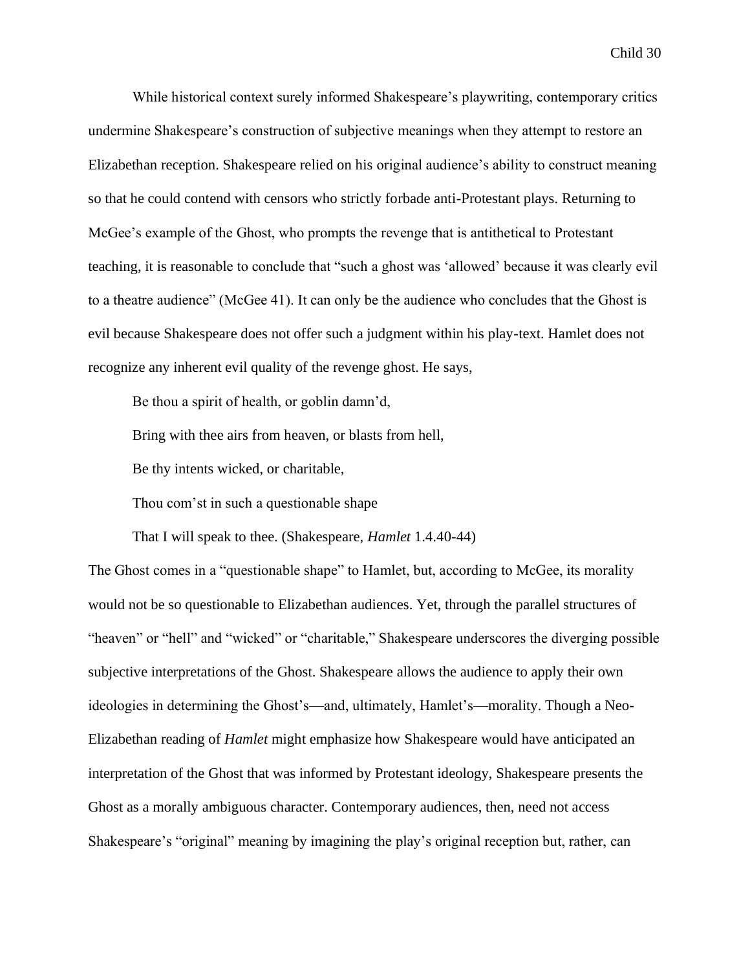While historical context surely informed Shakespeare's playwriting, contemporary critics undermine Shakespeare's construction of subjective meanings when they attempt to restore an Elizabethan reception. Shakespeare relied on his original audience's ability to construct meaning so that he could contend with censors who strictly forbade anti-Protestant plays. Returning to McGee's example of the Ghost, who prompts the revenge that is antithetical to Protestant teaching, it is reasonable to conclude that "such a ghost was 'allowed' because it was clearly evil to a theatre audience" (McGee 41). It can only be the audience who concludes that the Ghost is evil because Shakespeare does not offer such a judgment within his play-text. Hamlet does not recognize any inherent evil quality of the revenge ghost. He says,

Be thou a spirit of health, or goblin damn'd,

Bring with thee airs from heaven, or blasts from hell,

Be thy intents wicked, or charitable,

Thou com'st in such a questionable shape

That I will speak to thee. (Shakespeare, *Hamlet* 1.4.40-44)

The Ghost comes in a "questionable shape" to Hamlet, but, according to McGee, its morality would not be so questionable to Elizabethan audiences. Yet, through the parallel structures of "heaven" or "hell" and "wicked" or "charitable," Shakespeare underscores the diverging possible subjective interpretations of the Ghost. Shakespeare allows the audience to apply their own ideologies in determining the Ghost's—and, ultimately, Hamlet's—morality. Though a Neo-Elizabethan reading of *Hamlet* might emphasize how Shakespeare would have anticipated an interpretation of the Ghost that was informed by Protestant ideology, Shakespeare presents the Ghost as a morally ambiguous character. Contemporary audiences, then, need not access Shakespeare's "original" meaning by imagining the play's original reception but, rather, can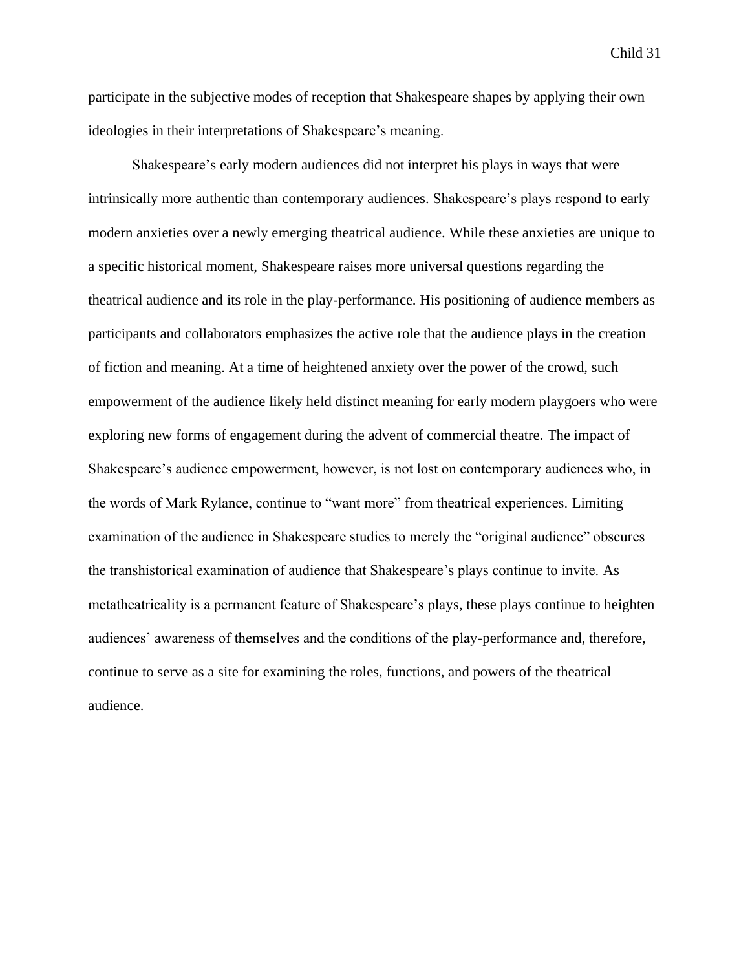participate in the subjective modes of reception that Shakespeare shapes by applying their own ideologies in their interpretations of Shakespeare's meaning.

Shakespeare's early modern audiences did not interpret his plays in ways that were intrinsically more authentic than contemporary audiences. Shakespeare's plays respond to early modern anxieties over a newly emerging theatrical audience. While these anxieties are unique to a specific historical moment, Shakespeare raises more universal questions regarding the theatrical audience and its role in the play-performance. His positioning of audience members as participants and collaborators emphasizes the active role that the audience plays in the creation of fiction and meaning. At a time of heightened anxiety over the power of the crowd, such empowerment of the audience likely held distinct meaning for early modern playgoers who were exploring new forms of engagement during the advent of commercial theatre. The impact of Shakespeare's audience empowerment, however, is not lost on contemporary audiences who, in the words of Mark Rylance, continue to "want more" from theatrical experiences. Limiting examination of the audience in Shakespeare studies to merely the "original audience" obscures the transhistorical examination of audience that Shakespeare's plays continue to invite. As metatheatricality is a permanent feature of Shakespeare's plays, these plays continue to heighten audiences' awareness of themselves and the conditions of the play-performance and, therefore, continue to serve as a site for examining the roles, functions, and powers of the theatrical audience.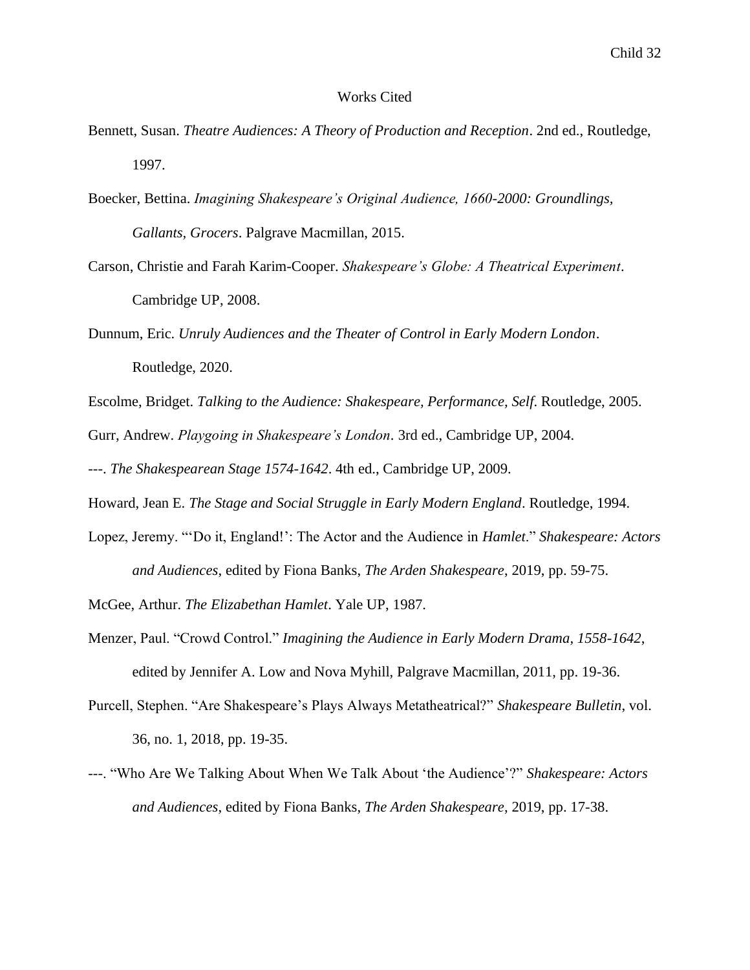#### Works Cited

- Bennett, Susan. *Theatre Audiences: A Theory of Production and Reception*. 2nd ed., Routledge, 1997.
- Boecker, Bettina. *Imagining Shakespeare's Original Audience, 1660-2000: Groundlings, Gallants, Grocers*. Palgrave Macmillan, 2015.
- Carson, Christie and Farah Karim-Cooper. *Shakespeare's Globe: A Theatrical Experiment*. Cambridge UP, 2008.
- Dunnum, Eric. *Unruly Audiences and the Theater of Control in Early Modern London*. Routledge, 2020.

Escolme, Bridget. *Talking to the Audience: Shakespeare, Performance, Self*. Routledge, 2005.

Gurr, Andrew. *Playgoing in Shakespeare's London*. 3rd ed., Cambridge UP, 2004.

---. *The Shakespearean Stage 1574-1642*. 4th ed., Cambridge UP, 2009.

Howard, Jean E. *The Stage and Social Struggle in Early Modern England*. Routledge, 1994.

Lopez, Jeremy. "'Do it, England!': The Actor and the Audience in *Hamlet*." *Shakespeare: Actors and Audiences*, edited by Fiona Banks, *The Arden Shakespeare*, 2019, pp. 59-75.

McGee, Arthur. *The Elizabethan Hamlet*. Yale UP, 1987.

- Menzer, Paul. "Crowd Control." *Imagining the Audience in Early Modern Drama, 1558-1642*, edited by Jennifer A. Low and Nova Myhill, Palgrave Macmillan, 2011, pp. 19-36.
- Purcell, Stephen. "Are Shakespeare's Plays Always Metatheatrical?" *Shakespeare Bulletin*, vol. 36, no. 1, 2018, pp. 19-35.
- ---. "Who Are We Talking About When We Talk About 'the Audience'?" *Shakespeare: Actors and Audiences*, edited by Fiona Banks, *The Arden Shakespeare*, 2019, pp. 17-38.